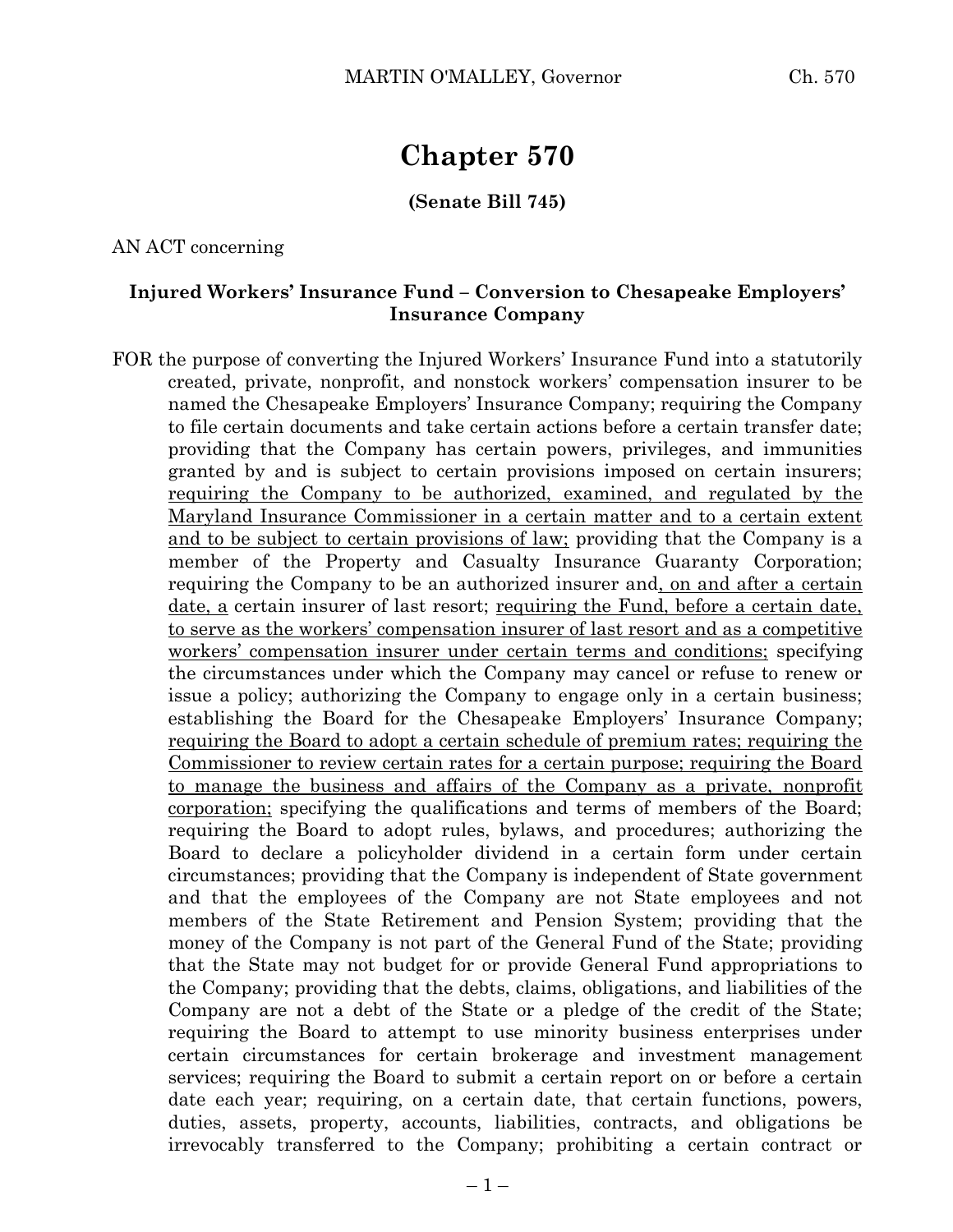# **Chapter 570**

#### **(Senate Bill 745)**

AN ACT concerning

#### **Injured Workers' Insurance Fund – Conversion to Chesapeake Employers' Insurance Company**

FOR the purpose of converting the Injured Workers' Insurance Fund into a statutorily created, private, nonprofit, and nonstock workers' compensation insurer to be named the Chesapeake Employers' Insurance Company; requiring the Company to file certain documents and take certain actions before a certain transfer date; providing that the Company has certain powers, privileges, and immunities granted by and is subject to certain provisions imposed on certain insurers; requiring the Company to be authorized, examined, and regulated by the Maryland Insurance Commissioner in a certain matter and to a certain extent and to be subject to certain provisions of law; providing that the Company is a member of the Property and Casualty Insurance Guaranty Corporation; requiring the Company to be an authorized insurer and, on and after a certain date, a certain insurer of last resort; requiring the Fund, before a certain date, to serve as the workers' compensation insurer of last resort and as a competitive workers' compensation insurer under certain terms and conditions; specifying the circumstances under which the Company may cancel or refuse to renew or issue a policy; authorizing the Company to engage only in a certain business; establishing the Board for the Chesapeake Employers' Insurance Company; requiring the Board to adopt a certain schedule of premium rates; requiring the Commissioner to review certain rates for a certain purpose; requiring the Board to manage the business and affairs of the Company as a private, nonprofit corporation; specifying the qualifications and terms of members of the Board; requiring the Board to adopt rules, bylaws, and procedures; authorizing the Board to declare a policyholder dividend in a certain form under certain circumstances; providing that the Company is independent of State government and that the employees of the Company are not State employees and not members of the State Retirement and Pension System; providing that the money of the Company is not part of the General Fund of the State; providing that the State may not budget for or provide General Fund appropriations to the Company; providing that the debts, claims, obligations, and liabilities of the Company are not a debt of the State or a pledge of the credit of the State; requiring the Board to attempt to use minority business enterprises under certain circumstances for certain brokerage and investment management services; requiring the Board to submit a certain report on or before a certain date each year; requiring, on a certain date, that certain functions, powers, duties, assets, property, accounts, liabilities, contracts, and obligations be irrevocably transferred to the Company; prohibiting a certain contract or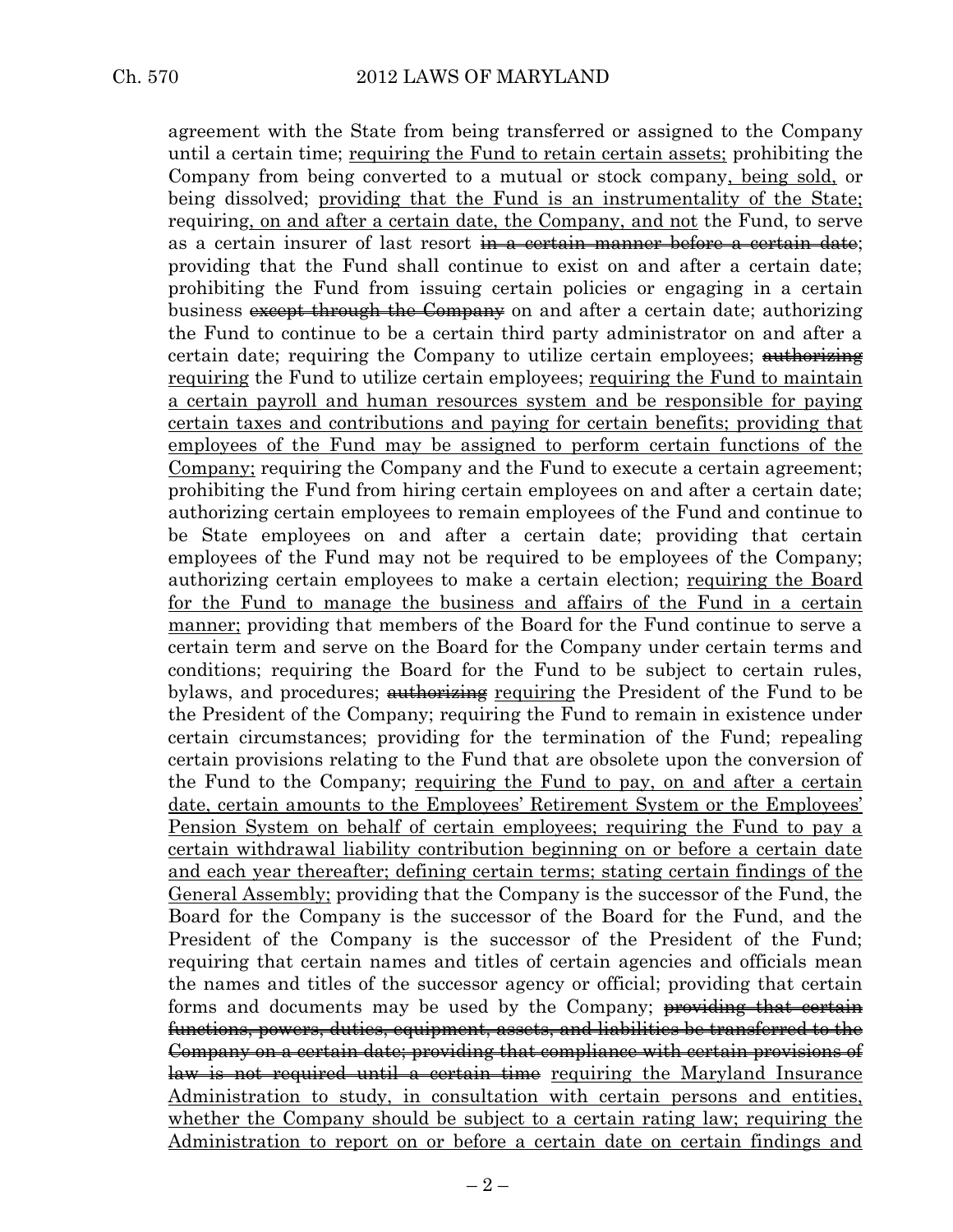agreement with the State from being transferred or assigned to the Company until a certain time; requiring the Fund to retain certain assets; prohibiting the Company from being converted to a mutual or stock company, being sold, or being dissolved; providing that the Fund is an instrumentality of the State; requiring, on and after a certain date, the Company, and not the Fund, to serve as a certain insurer of last resort in a certain manner before a certain date; providing that the Fund shall continue to exist on and after a certain date; prohibiting the Fund from issuing certain policies or engaging in a certain business except through the Company on and after a certain date; authorizing the Fund to continue to be a certain third party administrator on and after a certain date; requiring the Company to utilize certain employees; **authorizing** requiring the Fund to utilize certain employees; requiring the Fund to maintain a certain payroll and human resources system and be responsible for paying certain taxes and contributions and paying for certain benefits; providing that employees of the Fund may be assigned to perform certain functions of the Company; requiring the Company and the Fund to execute a certain agreement; prohibiting the Fund from hiring certain employees on and after a certain date; authorizing certain employees to remain employees of the Fund and continue to be State employees on and after a certain date; providing that certain employees of the Fund may not be required to be employees of the Company; authorizing certain employees to make a certain election; requiring the Board for the Fund to manage the business and affairs of the Fund in a certain manner; providing that members of the Board for the Fund continue to serve a certain term and serve on the Board for the Company under certain terms and conditions; requiring the Board for the Fund to be subject to certain rules, bylaws, and procedures; **authorizing** requiring the President of the Fund to be the President of the Company; requiring the Fund to remain in existence under certain circumstances; providing for the termination of the Fund; repealing certain provisions relating to the Fund that are obsolete upon the conversion of the Fund to the Company; requiring the Fund to pay, on and after a certain date, certain amounts to the Employees' Retirement System or the Employees' Pension System on behalf of certain employees; requiring the Fund to pay a certain withdrawal liability contribution beginning on or before a certain date and each year thereafter; defining certain terms; stating certain findings of the General Assembly; providing that the Company is the successor of the Fund, the Board for the Company is the successor of the Board for the Fund, and the President of the Company is the successor of the President of the Fund; requiring that certain names and titles of certain agencies and officials mean the names and titles of the successor agency or official; providing that certain forms and documents may be used by the Company; providing that certain functions, powers, duties, equipment, assets, and liabilities be transferred to the Company on a certain date; providing that compliance with certain provisions of law is not required until a certain time requiring the Maryland Insurance Administration to study, in consultation with certain persons and entities, whether the Company should be subject to a certain rating law; requiring the Administration to report on or before a certain date on certain findings and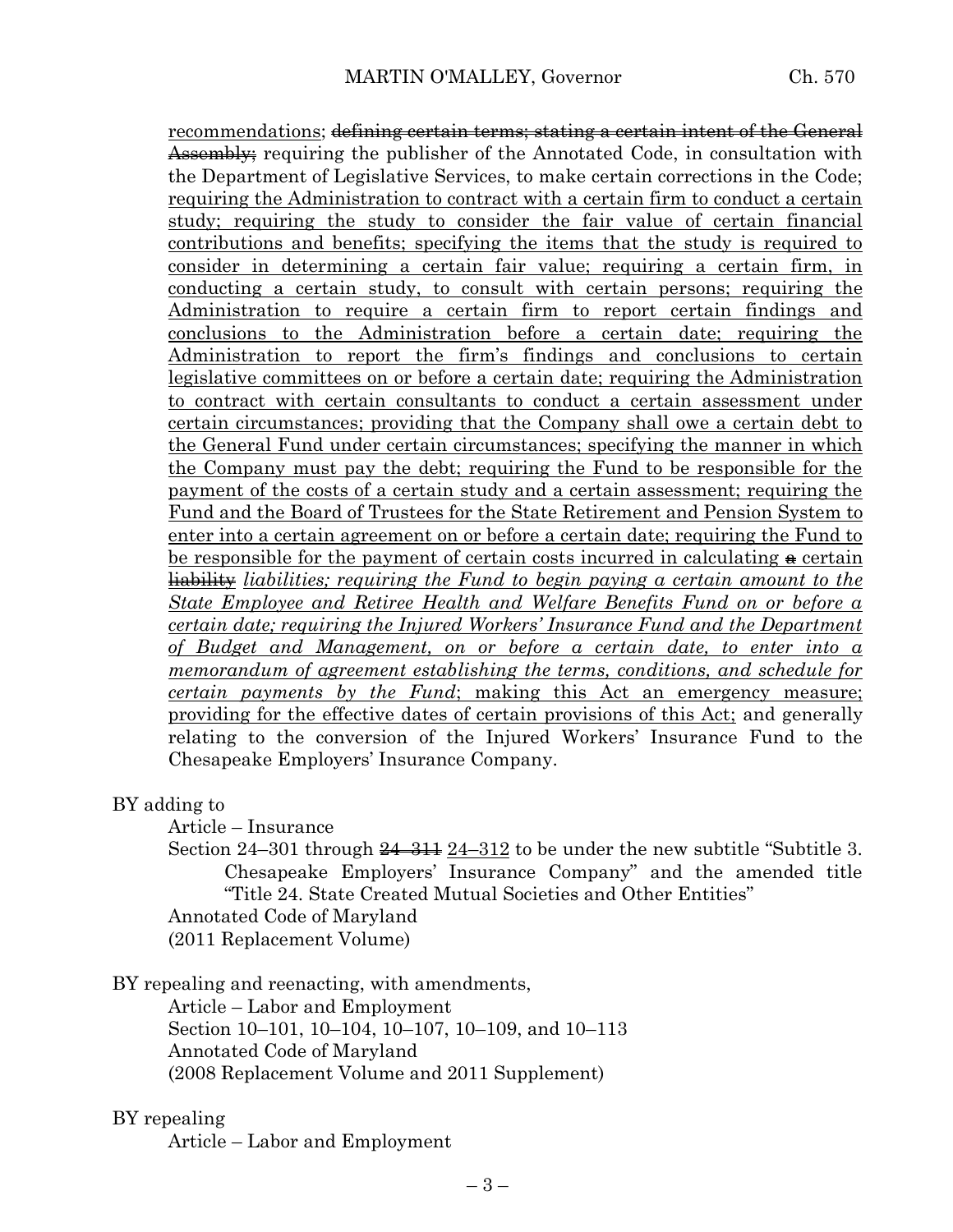recommendations; <del>defining certain terms; stating a certain intent of the General</del> Assembly; requiring the publisher of the Annotated Code, in consultation with the Department of Legislative Services, to make certain corrections in the Code; requiring the Administration to contract with a certain firm to conduct a certain study; requiring the study to consider the fair value of certain financial contributions and benefits; specifying the items that the study is required to consider in determining a certain fair value; requiring a certain firm, in conducting a certain study, to consult with certain persons; requiring the Administration to require a certain firm to report certain findings and conclusions to the Administration before a certain date; requiring the Administration to report the firm's findings and conclusions to certain legislative committees on or before a certain date; requiring the Administration to contract with certain consultants to conduct a certain assessment under certain circumstances; providing that the Company shall owe a certain debt to the General Fund under certain circumstances; specifying the manner in which the Company must pay the debt; requiring the Fund to be responsible for the payment of the costs of a certain study and a certain assessment; requiring the Fund and the Board of Trustees for the State Retirement and Pension System to enter into a certain agreement on or before a certain date; requiring the Fund to be responsible for the payment of certain costs incurred in calculating  $\triangle$  certain liability *liabilities; requiring the Fund to begin paying a certain amount to the State Employee and Retiree Health and Welfare Benefits Fund on or before a certain date; requiring the Injured Workers' Insurance Fund and the Department of Budget and Management, on or before a certain date, to enter into a memorandum of agreement establishing the terms, conditions, and schedule for certain payments by the Fund*; making this Act an emergency measure; providing for the effective dates of certain provisions of this Act; and generally relating to the conversion of the Injured Workers' Insurance Fund to the Chesapeake Employers' Insurance Company.

#### BY adding to

Article – Insurance

Section 24–301 through  $24-312$  to be under the new subtitle "Subtitle 3. Chesapeake Employers' Insurance Company" and the amended title "Title 24. State Created Mutual Societies and Other Entities" Annotated Code of Maryland (2011 Replacement Volume)

BY repealing and reenacting, with amendments,

Article – Labor and Employment

Section 10–101, 10–104, 10–107, 10–109, and 10–113 Annotated Code of Maryland (2008 Replacement Volume and 2011 Supplement)

#### BY repealing

Article – Labor and Employment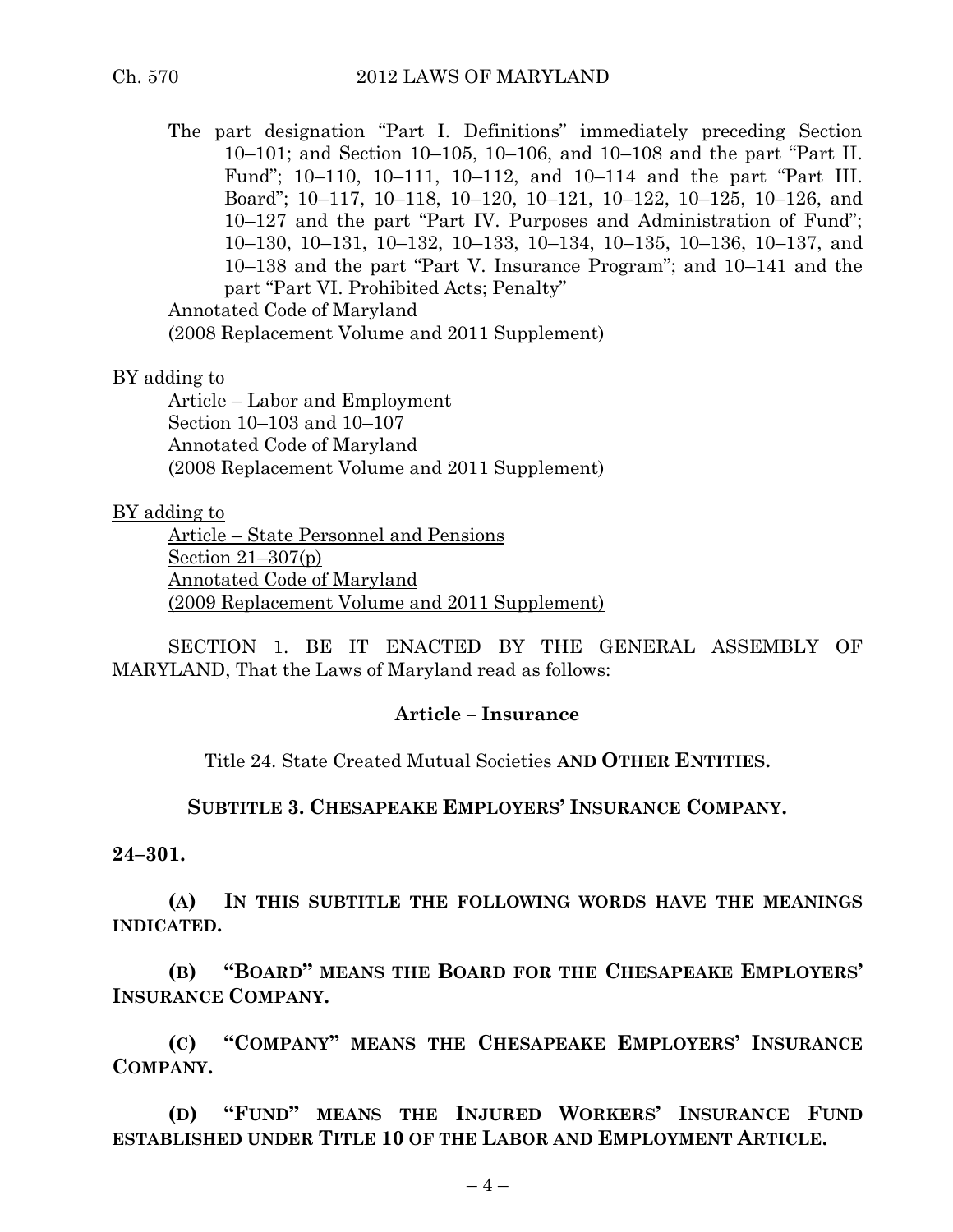The part designation "Part I. Definitions" immediately preceding Section 10–101; and Section 10–105, 10–106, and 10–108 and the part "Part II. Fund"; 10–110, 10–111, 10–112, and 10–114 and the part "Part III. Board"; 10–117, 10–118, 10–120, 10–121, 10–122, 10–125, 10–126, and 10–127 and the part "Part IV. Purposes and Administration of Fund"; 10–130, 10–131, 10–132, 10–133, 10–134, 10–135, 10–136, 10–137, and 10–138 and the part "Part V. Insurance Program"; and 10–141 and the part "Part VI. Prohibited Acts; Penalty"

Annotated Code of Maryland (2008 Replacement Volume and 2011 Supplement)

BY adding to

Article – Labor and Employment Section 10–103 and 10–107 Annotated Code of Maryland (2008 Replacement Volume and 2011 Supplement)

#### BY adding to

Article – State Personnel and Pensions Section  $21-307(p)$ Annotated Code of Maryland (2009 Replacement Volume and 2011 Supplement)

SECTION 1. BE IT ENACTED BY THE GENERAL ASSEMBLY OF MARYLAND, That the Laws of Maryland read as follows:

#### **Article – Insurance**

Title 24. State Created Mutual Societies **AND OTHER ENTITIES.**

**SUBTITLE 3. CHESAPEAKE EMPLOYERS' INSURANCE COMPANY.**

**24–301.**

**(A) IN THIS SUBTITLE THE FOLLOWING WORDS HAVE THE MEANINGS INDICATED.**

**(B) "BOARD" MEANS THE BOARD FOR THE CHESAPEAKE EMPLOYERS' INSURANCE COMPANY.**

**(C) "COMPANY" MEANS THE CHESAPEAKE EMPLOYERS' INSURANCE COMPANY.**

**(D) "FUND" MEANS THE INJURED WORKERS' INSURANCE FUND ESTABLISHED UNDER TITLE 10 OF THE LABOR AND EMPLOYMENT ARTICLE.**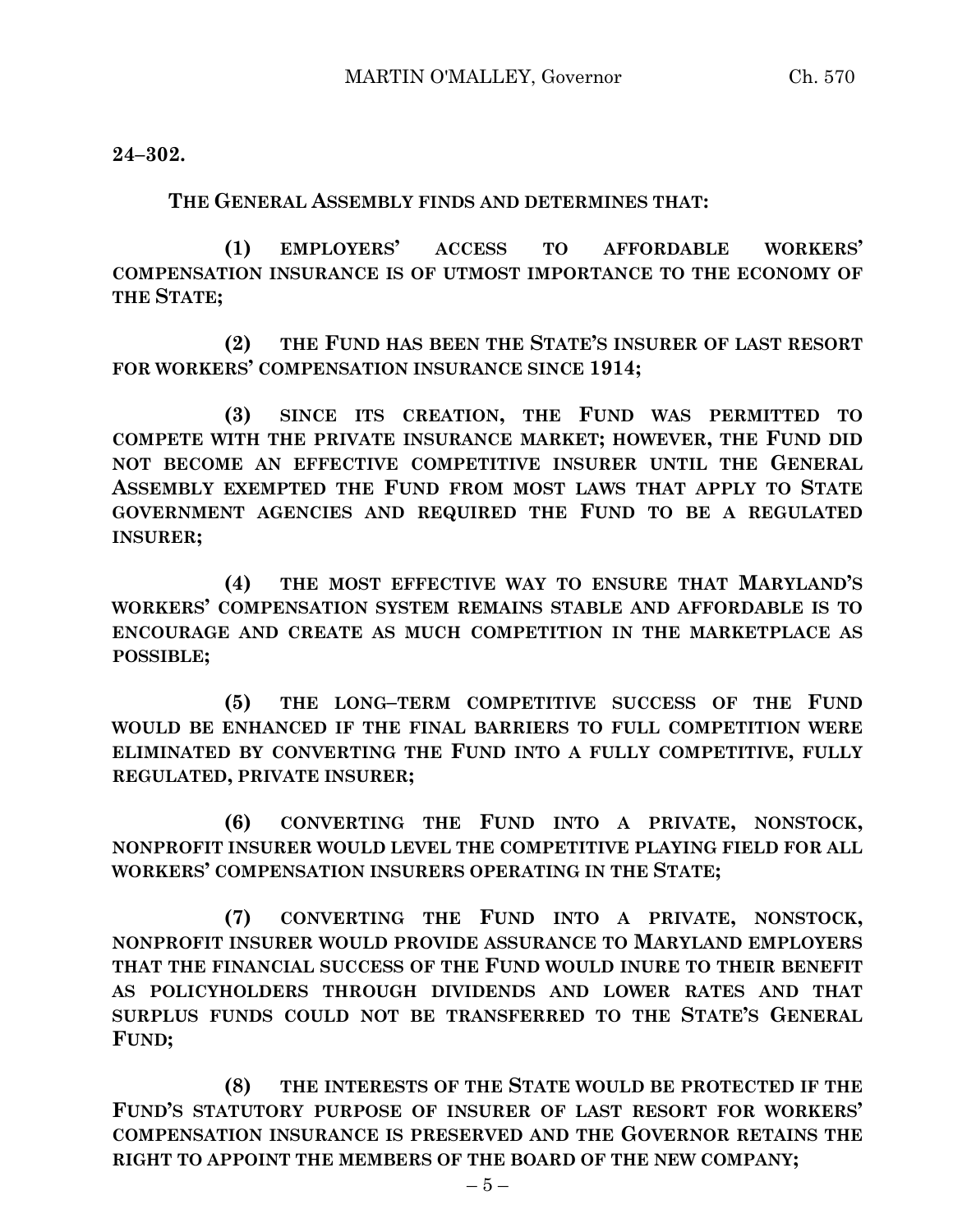**24–302.**

**THE GENERAL ASSEMBLY FINDS AND DETERMINES THAT:**

**(1) EMPLOYERS' ACCESS TO AFFORDABLE WORKERS' COMPENSATION INSURANCE IS OF UTMOST IMPORTANCE TO THE ECONOMY OF THE STATE;**

**(2) THE FUND HAS BEEN THE STATE'S INSURER OF LAST RESORT FOR WORKERS' COMPENSATION INSURANCE SINCE 1914;**

**(3) SINCE ITS CREATION, THE FUND WAS PERMITTED TO COMPETE WITH THE PRIVATE INSURANCE MARKET; HOWEVER, THE FUND DID NOT BECOME AN EFFECTIVE COMPETITIVE INSURER UNTIL THE GENERAL ASSEMBLY EXEMPTED THE FUND FROM MOST LAWS THAT APPLY TO STATE GOVERNMENT AGENCIES AND REQUIRED THE FUND TO BE A REGULATED INSURER;**

**(4) THE MOST EFFECTIVE WAY TO ENSURE THAT MARYLAND'S WORKERS' COMPENSATION SYSTEM REMAINS STABLE AND AFFORDABLE IS TO ENCOURAGE AND CREATE AS MUCH COMPETITION IN THE MARKETPLACE AS POSSIBLE;**

**(5) THE LONG–TERM COMPETITIVE SUCCESS OF THE FUND WOULD BE ENHANCED IF THE FINAL BARRIERS TO FULL COMPETITION WERE ELIMINATED BY CONVERTING THE FUND INTO A FULLY COMPETITIVE, FULLY REGULATED, PRIVATE INSURER;**

**(6) CONVERTING THE FUND INTO A PRIVATE, NONSTOCK, NONPROFIT INSURER WOULD LEVEL THE COMPETITIVE PLAYING FIELD FOR ALL WORKERS' COMPENSATION INSURERS OPERATING IN THE STATE;**

**(7) CONVERTING THE FUND INTO A PRIVATE, NONSTOCK, NONPROFIT INSURER WOULD PROVIDE ASSURANCE TO MARYLAND EMPLOYERS THAT THE FINANCIAL SUCCESS OF THE FUND WOULD INURE TO THEIR BENEFIT AS POLICYHOLDERS THROUGH DIVIDENDS AND LOWER RATES AND THAT SURPLUS FUNDS COULD NOT BE TRANSFERRED TO THE STATE'S GENERAL FUND;**

**(8) THE INTERESTS OF THE STATE WOULD BE PROTECTED IF THE FUND'S STATUTORY PURPOSE OF INSURER OF LAST RESORT FOR WORKERS' COMPENSATION INSURANCE IS PRESERVED AND THE GOVERNOR RETAINS THE RIGHT TO APPOINT THE MEMBERS OF THE BOARD OF THE NEW COMPANY;**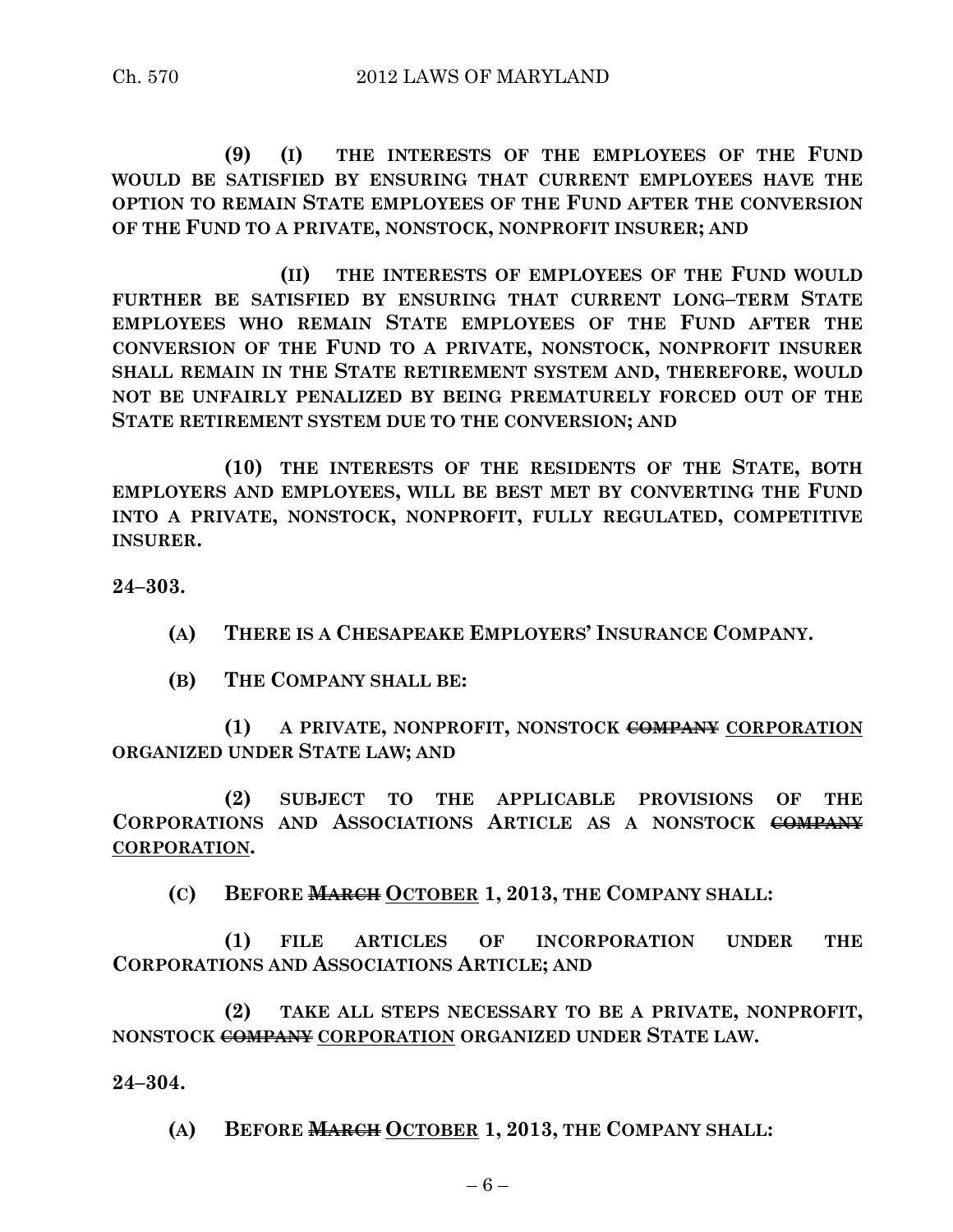**(9) (I) THE INTERESTS OF THE EMPLOYEES OF THE FUND WOULD BE SATISFIED BY ENSURING THAT CURRENT EMPLOYEES HAVE THE OPTION TO REMAIN STATE EMPLOYEES OF THE FUND AFTER THE CONVERSION OF THE FUND TO A PRIVATE, NONSTOCK, NONPROFIT INSURER; AND**

**(II) THE INTERESTS OF EMPLOYEES OF THE FUND WOULD FURTHER BE SATISFIED BY ENSURING THAT CURRENT LONG–TERM STATE EMPLOYEES WHO REMAIN STATE EMPLOYEES OF THE FUND AFTER THE CONVERSION OF THE FUND TO A PRIVATE, NONSTOCK, NONPROFIT INSURER SHALL REMAIN IN THE STATE RETIREMENT SYSTEM AND, THEREFORE, WOULD NOT BE UNFAIRLY PENALIZED BY BEING PREMATURELY FORCED OUT OF THE STATE RETIREMENT SYSTEM DUE TO THE CONVERSION; AND** 

**(10) THE INTERESTS OF THE RESIDENTS OF THE STATE, BOTH EMPLOYERS AND EMPLOYEES, WILL BE BEST MET BY CONVERTING THE FUND INTO A PRIVATE, NONSTOCK, NONPROFIT, FULLY REGULATED, COMPETITIVE INSURER.**

**24–303.**

**(A) THERE IS A CHESAPEAKE EMPLOYERS' INSURANCE COMPANY.**

**(B) THE COMPANY SHALL BE:**

**(1) A PRIVATE, NONPROFIT, NONSTOCK COMPANY CORPORATION ORGANIZED UNDER STATE LAW; AND** 

**(2) SUBJECT TO THE APPLICABLE PROVISIONS OF THE CORPORATIONS AND ASSOCIATIONS ARTICLE AS A NONSTOCK COMPANY CORPORATION.**

**(C) BEFORE MARCH OCTOBER 1, 2013, THE COMPANY SHALL:**

**(1) FILE ARTICLES OF INCORPORATION UNDER THE CORPORATIONS AND ASSOCIATIONS ARTICLE; AND**

**(2) TAKE ALL STEPS NECESSARY TO BE A PRIVATE, NONPROFIT, NONSTOCK COMPANY CORPORATION ORGANIZED UNDER STATE LAW.**

**24–304.**

**(A) BEFORE MARCH OCTOBER 1, 2013, THE COMPANY SHALL:**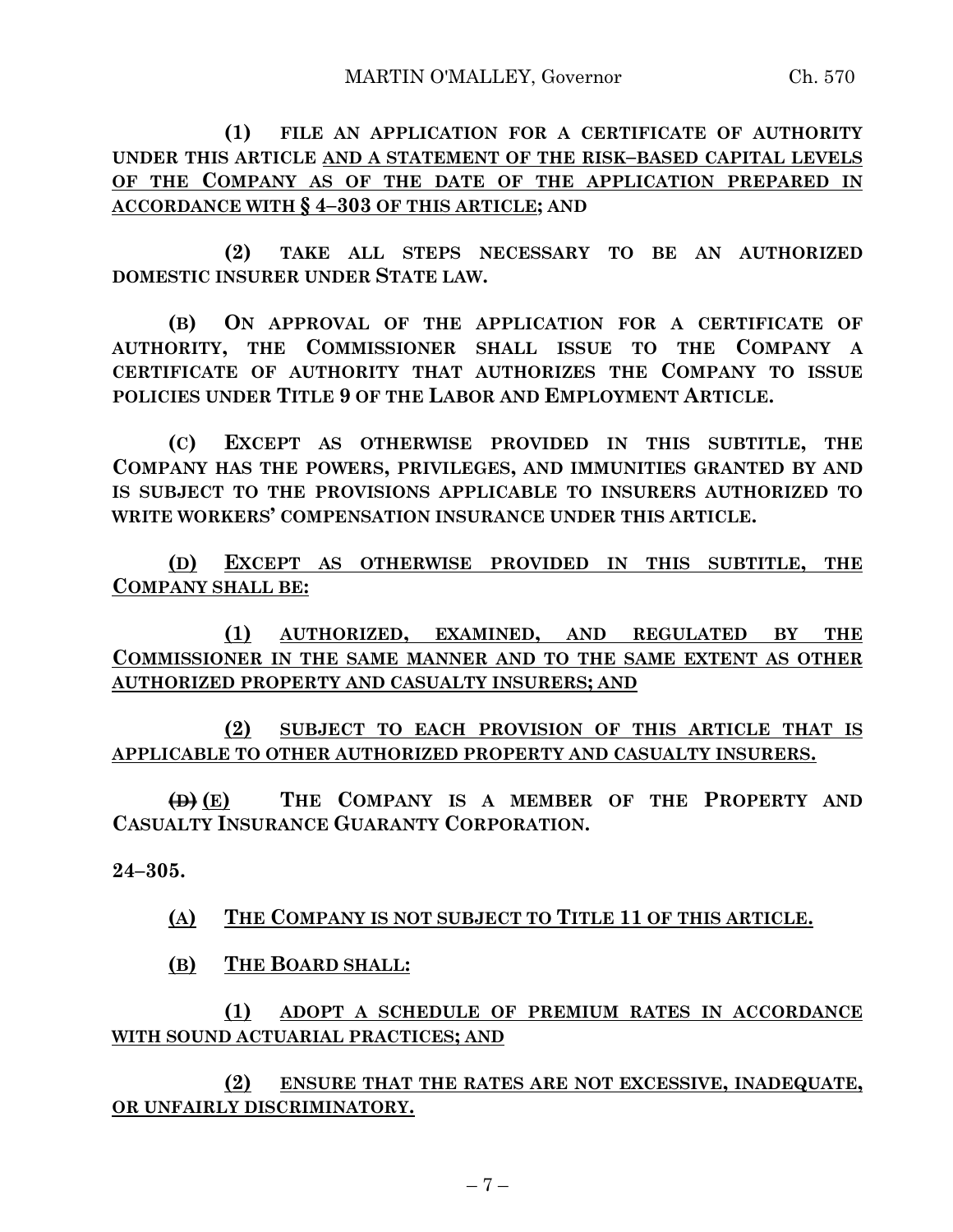**(1) FILE AN APPLICATION FOR A CERTIFICATE OF AUTHORITY UNDER THIS ARTICLE AND A STATEMENT OF THE RISK–BASED CAPITAL LEVELS OF THE COMPANY AS OF THE DATE OF THE APPLICATION PREPARED IN ACCORDANCE WITH § 4–303 OF THIS ARTICLE; AND** 

**(2) TAKE ALL STEPS NECESSARY TO BE AN AUTHORIZED DOMESTIC INSURER UNDER STATE LAW.**

**(B) ON APPROVAL OF THE APPLICATION FOR A CERTIFICATE OF AUTHORITY, THE COMMISSIONER SHALL ISSUE TO THE COMPANY A CERTIFICATE OF AUTHORITY THAT AUTHORIZES THE COMPANY TO ISSUE POLICIES UNDER TITLE 9 OF THE LABOR AND EMPLOYMENT ARTICLE.**

**(C) EXCEPT AS OTHERWISE PROVIDED IN THIS SUBTITLE, THE COMPANY HAS THE POWERS, PRIVILEGES, AND IMMUNITIES GRANTED BY AND IS SUBJECT TO THE PROVISIONS APPLICABLE TO INSURERS AUTHORIZED TO WRITE WORKERS' COMPENSATION INSURANCE UNDER THIS ARTICLE.**

**(D) EXCEPT AS OTHERWISE PROVIDED IN THIS SUBTITLE, THE COMPANY SHALL BE:**

**(1) AUTHORIZED, EXAMINED, AND REGULATED BY THE COMMISSIONER IN THE SAME MANNER AND TO THE SAME EXTENT AS OTHER AUTHORIZED PROPERTY AND CASUALTY INSURERS; AND**

**(2) SUBJECT TO EACH PROVISION OF THIS ARTICLE THAT IS APPLICABLE TO OTHER AUTHORIZED PROPERTY AND CASUALTY INSURERS.**

**(D) (E) THE COMPANY IS A MEMBER OF THE PROPERTY AND CASUALTY INSURANCE GUARANTY CORPORATION.**

**24–305.**

**(A) THE COMPANY IS NOT SUBJECT TO TITLE 11 OF THIS ARTICLE.**

**(B) THE BOARD SHALL:**

**(1) ADOPT A SCHEDULE OF PREMIUM RATES IN ACCORDANCE WITH SOUND ACTUARIAL PRACTICES; AND**

**(2) ENSURE THAT THE RATES ARE NOT EXCESSIVE, INADEQUATE, OR UNFAIRLY DISCRIMINATORY.**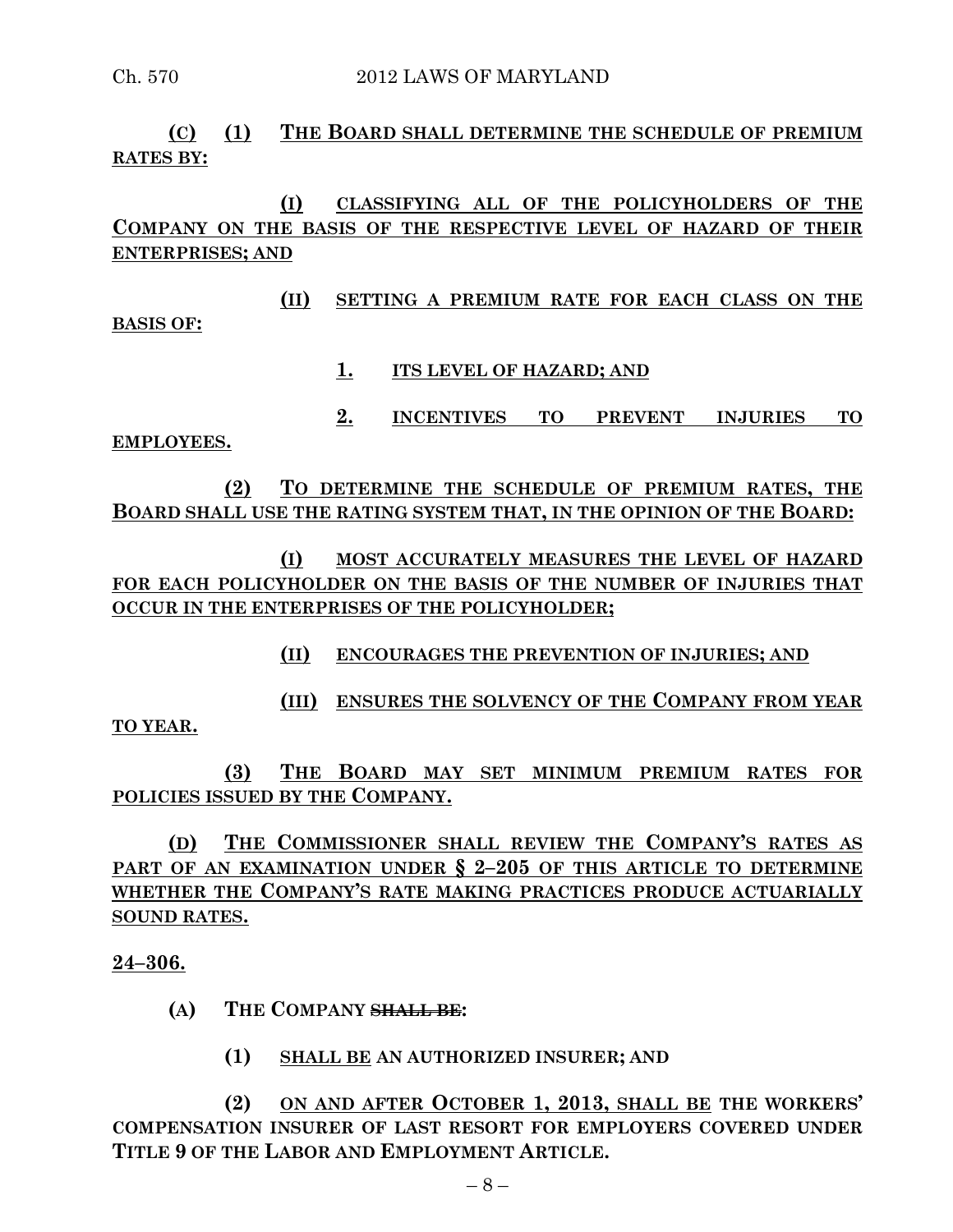# **(C) (1) THE BOARD SHALL DETERMINE THE SCHEDULE OF PREMIUM RATES BY:**

### **(I) CLASSIFYING ALL OF THE POLICYHOLDERS OF THE COMPANY ON THE BASIS OF THE RESPECTIVE LEVEL OF HAZARD OF THEIR ENTERPRISES; AND**

**(II) SETTING A PREMIUM RATE FOR EACH CLASS ON THE** 

**BASIS OF:**

- **1. ITS LEVEL OF HAZARD; AND**
- **2. INCENTIVES TO PREVENT INJURIES TO EMPLOYEES.**

**(2) TO DETERMINE THE SCHEDULE OF PREMIUM RATES, THE BOARD SHALL USE THE RATING SYSTEM THAT, IN THE OPINION OF THE BOARD:**

**(I) MOST ACCURATELY MEASURES THE LEVEL OF HAZARD FOR EACH POLICYHOLDER ON THE BASIS OF THE NUMBER OF INJURIES THAT OCCUR IN THE ENTERPRISES OF THE POLICYHOLDER;**

**(II) ENCOURAGES THE PREVENTION OF INJURIES; AND**

**(III) ENSURES THE SOLVENCY OF THE COMPANY FROM YEAR TO YEAR.**

**(3) THE BOARD MAY SET MINIMUM PREMIUM RATES FOR POLICIES ISSUED BY THE COMPANY.**

**(D) THE COMMISSIONER SHALL REVIEW THE COMPANY'S RATES AS PART OF AN EXAMINATION UNDER § 2–205 OF THIS ARTICLE TO DETERMINE WHETHER THE COMPANY'S RATE MAKING PRACTICES PRODUCE ACTUARIALLY SOUND RATES.**

**24–306.**

- **(A) THE COMPANY SHALL BE:**
	- **(1) SHALL BE AN AUTHORIZED INSURER; AND**

**(2) ON AND AFTER OCTOBER 1, 2013, SHALL BE THE WORKERS' COMPENSATION INSURER OF LAST RESORT FOR EMPLOYERS COVERED UNDER TITLE 9 OF THE LABOR AND EMPLOYMENT ARTICLE.**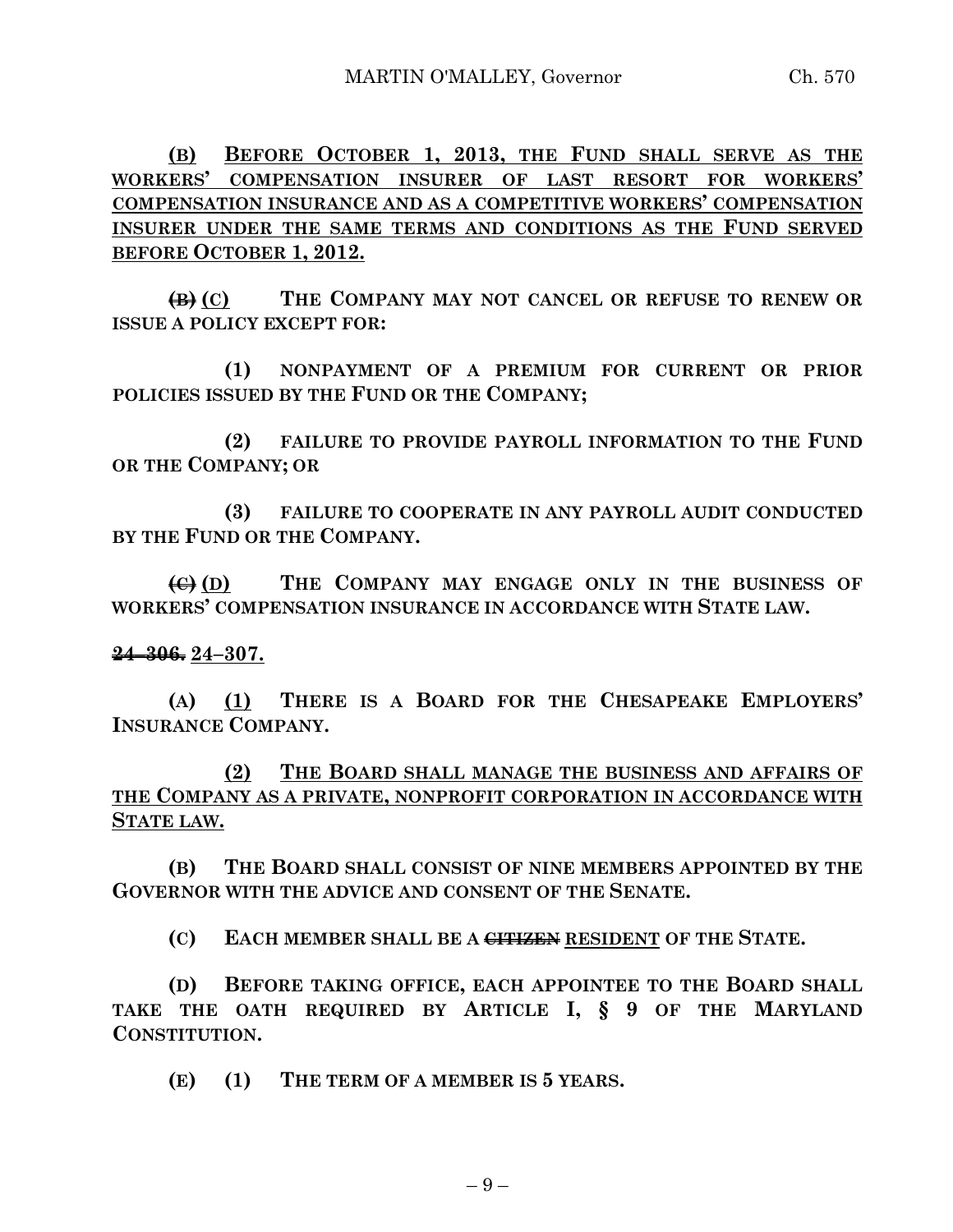**(B) BEFORE OCTOBER 1, 2013, THE FUND SHALL SERVE AS THE WORKERS' COMPENSATION INSURER OF LAST RESORT FOR WORKERS' COMPENSATION INSURANCE AND AS A COMPETITIVE WORKERS' COMPENSATION INSURER UNDER THE SAME TERMS AND CONDITIONS AS THE FUND SERVED BEFORE OCTOBER 1, 2012.**

**(B) (C) THE COMPANY MAY NOT CANCEL OR REFUSE TO RENEW OR ISSUE A POLICY EXCEPT FOR:**

**(1) NONPAYMENT OF A PREMIUM FOR CURRENT OR PRIOR POLICIES ISSUED BY THE FUND OR THE COMPANY;**

**(2) FAILURE TO PROVIDE PAYROLL INFORMATION TO THE FUND OR THE COMPANY; OR**

**(3) FAILURE TO COOPERATE IN ANY PAYROLL AUDIT CONDUCTED BY THE FUND OR THE COMPANY.**

**(C) (D) THE COMPANY MAY ENGAGE ONLY IN THE BUSINESS OF WORKERS' COMPENSATION INSURANCE IN ACCORDANCE WITH STATE LAW.**

**24–306. 24–307.**

**(A) (1) THERE IS A BOARD FOR THE CHESAPEAKE EMPLOYERS' INSURANCE COMPANY.**

**(2) THE BOARD SHALL MANAGE THE BUSINESS AND AFFAIRS OF THE COMPANY AS A PRIVATE, NONPROFIT CORPORATION IN ACCORDANCE WITH STATE LAW.**

**(B) THE BOARD SHALL CONSIST OF NINE MEMBERS APPOINTED BY THE GOVERNOR WITH THE ADVICE AND CONSENT OF THE SENATE.**

**(C) EACH MEMBER SHALL BE A CITIZEN RESIDENT OF THE STATE.**

**(D) BEFORE TAKING OFFICE, EACH APPOINTEE TO THE BOARD SHALL TAKE THE OATH REQUIRED BY ARTICLE I, § 9 OF THE MARYLAND CONSTITUTION.**

**(E) (1) THE TERM OF A MEMBER IS 5 YEARS.**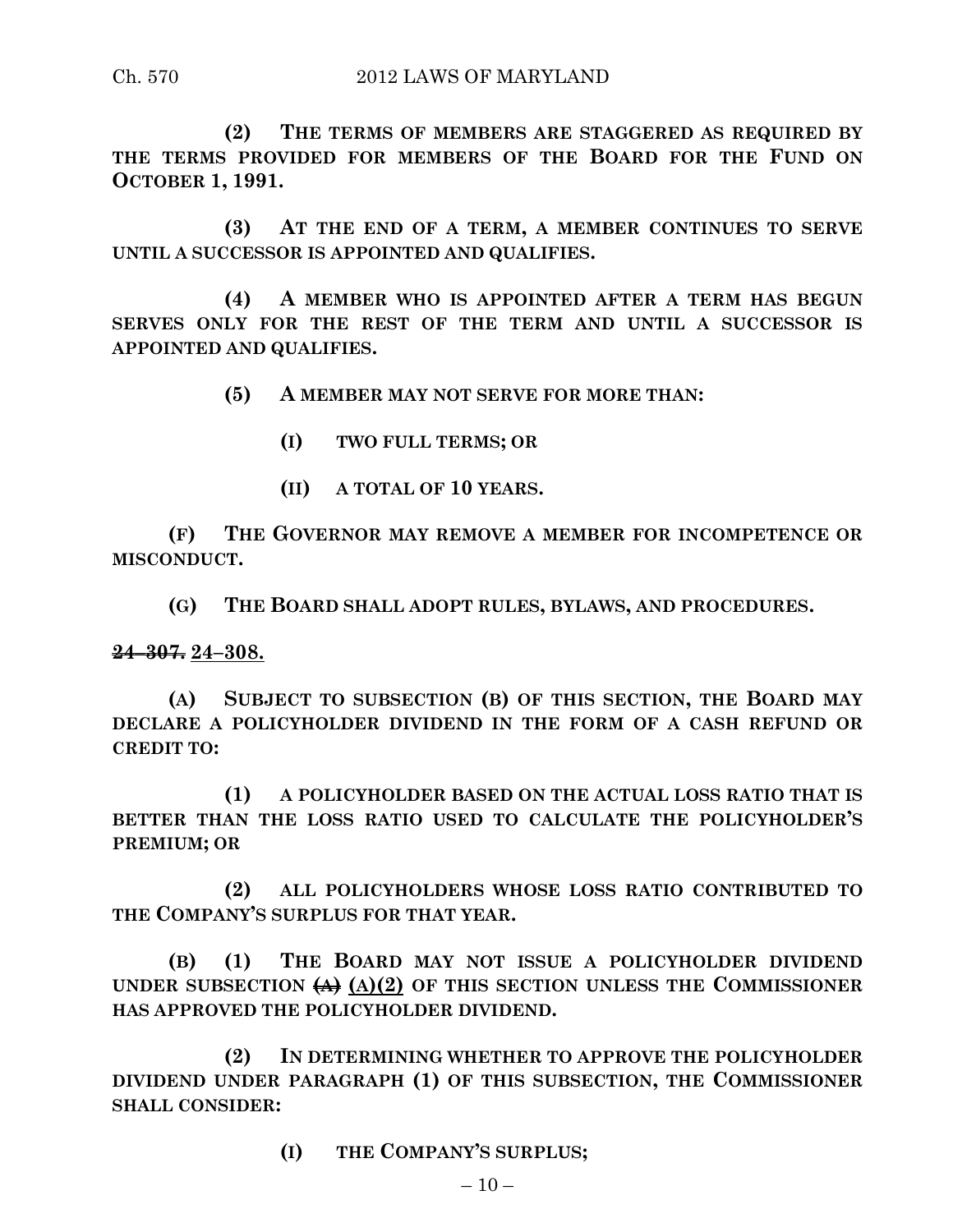#### Ch. 570 2012 LAWS OF MARYLAND

**(2) THE TERMS OF MEMBERS ARE STAGGERED AS REQUIRED BY THE TERMS PROVIDED FOR MEMBERS OF THE BOARD FOR THE FUND ON OCTOBER 1, 1991.**

**(3) AT THE END OF A TERM, A MEMBER CONTINUES TO SERVE UNTIL A SUCCESSOR IS APPOINTED AND QUALIFIES.**

**(4) A MEMBER WHO IS APPOINTED AFTER A TERM HAS BEGUN SERVES ONLY FOR THE REST OF THE TERM AND UNTIL A SUCCESSOR IS APPOINTED AND QUALIFIES.**

**(5) A MEMBER MAY NOT SERVE FOR MORE THAN:**

**(I) TWO FULL TERMS; OR**

**(II) A TOTAL OF 10 YEARS.**

**(F) THE GOVERNOR MAY REMOVE A MEMBER FOR INCOMPETENCE OR MISCONDUCT.**

**(G) THE BOARD SHALL ADOPT RULES, BYLAWS, AND PROCEDURES.**

**24–307. 24–308.**

**(A) SUBJECT TO SUBSECTION (B) OF THIS SECTION, THE BOARD MAY DECLARE A POLICYHOLDER DIVIDEND IN THE FORM OF A CASH REFUND OR CREDIT TO:**

**(1) A POLICYHOLDER BASED ON THE ACTUAL LOSS RATIO THAT IS BETTER THAN THE LOSS RATIO USED TO CALCULATE THE POLICYHOLDER'S PREMIUM; OR**

**(2) ALL POLICYHOLDERS WHOSE LOSS RATIO CONTRIBUTED TO THE COMPANY'S SURPLUS FOR THAT YEAR.**

**(B) (1) THE BOARD MAY NOT ISSUE A POLICYHOLDER DIVIDEND UNDER SUBSECTION (A) (A)(2) OF THIS SECTION UNLESS THE COMMISSIONER HAS APPROVED THE POLICYHOLDER DIVIDEND.**

**(2) IN DETERMINING WHETHER TO APPROVE THE POLICYHOLDER DIVIDEND UNDER PARAGRAPH (1) OF THIS SUBSECTION, THE COMMISSIONER SHALL CONSIDER:**

 $-10-$ 

**(I) THE COMPANY'S SURPLUS;**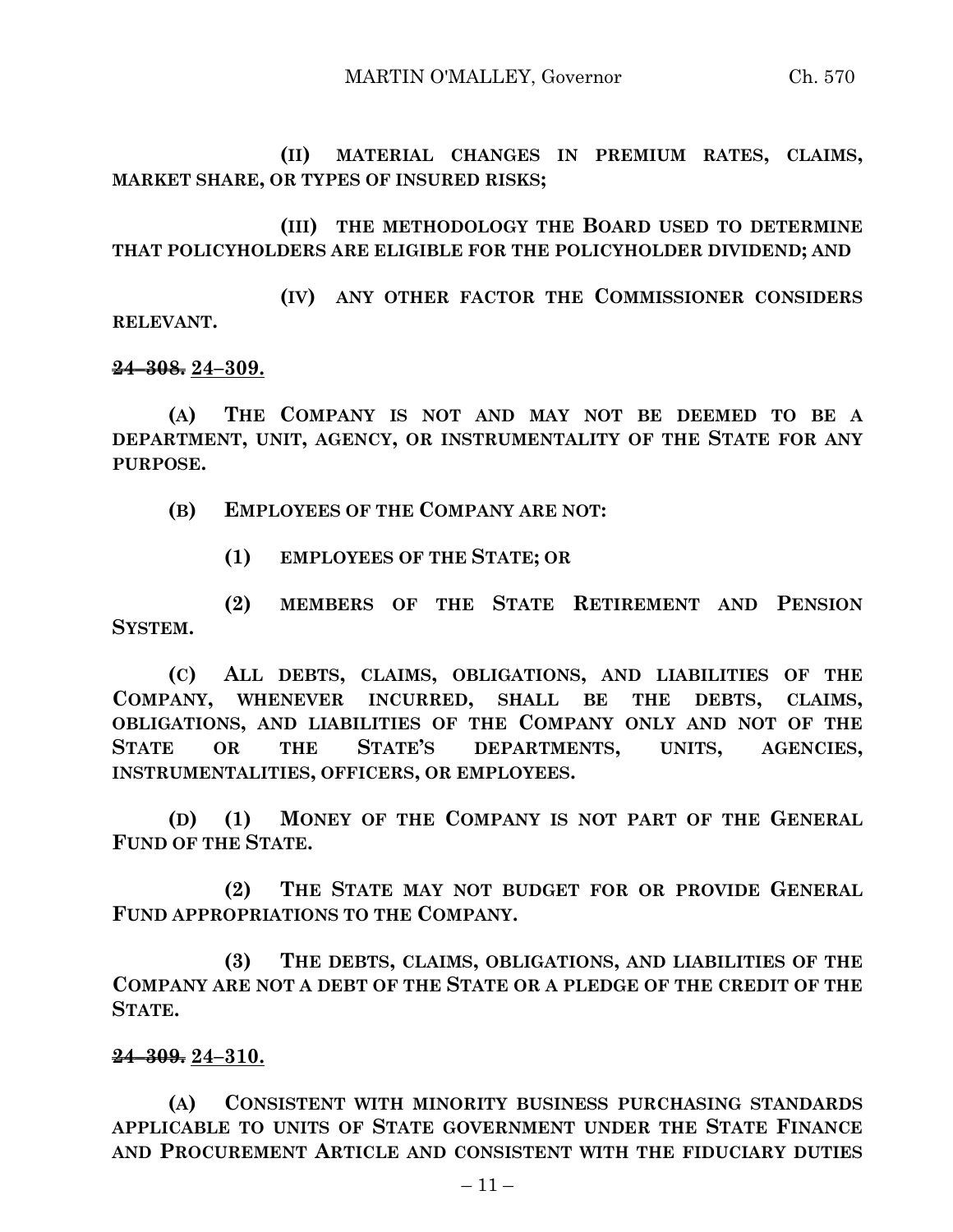**(II) MATERIAL CHANGES IN PREMIUM RATES, CLAIMS, MARKET SHARE, OR TYPES OF INSURED RISKS;**

**(III) THE METHODOLOGY THE BOARD USED TO DETERMINE THAT POLICYHOLDERS ARE ELIGIBLE FOR THE POLICYHOLDER DIVIDEND; AND**

**(IV) ANY OTHER FACTOR THE COMMISSIONER CONSIDERS RELEVANT.**

#### **24–308. 24–309.**

**(A) THE COMPANY IS NOT AND MAY NOT BE DEEMED TO BE A DEPARTMENT, UNIT, AGENCY, OR INSTRUMENTALITY OF THE STATE FOR ANY PURPOSE.**

**(B) EMPLOYEES OF THE COMPANY ARE NOT:**

**(1) EMPLOYEES OF THE STATE; OR** 

**(2) MEMBERS OF THE STATE RETIREMENT AND PENSION SYSTEM.**

**(C) ALL DEBTS, CLAIMS, OBLIGATIONS, AND LIABILITIES OF THE COMPANY, WHENEVER INCURRED, SHALL BE THE DEBTS, CLAIMS, OBLIGATIONS, AND LIABILITIES OF THE COMPANY ONLY AND NOT OF THE STATE OR THE STATE'S DEPARTMENTS, UNITS, AGENCIES, INSTRUMENTALITIES, OFFICERS, OR EMPLOYEES.**

**(D) (1) MONEY OF THE COMPANY IS NOT PART OF THE GENERAL FUND OF THE STATE.**

**(2) THE STATE MAY NOT BUDGET FOR OR PROVIDE GENERAL FUND APPROPRIATIONS TO THE COMPANY.**

**(3) THE DEBTS, CLAIMS, OBLIGATIONS, AND LIABILITIES OF THE COMPANY ARE NOT A DEBT OF THE STATE OR A PLEDGE OF THE CREDIT OF THE STATE.**

#### **24–309. 24–310.**

**(A) CONSISTENT WITH MINORITY BUSINESS PURCHASING STANDARDS APPLICABLE TO UNITS OF STATE GOVERNMENT UNDER THE STATE FINANCE AND PROCUREMENT ARTICLE AND CONSISTENT WITH THE FIDUCIARY DUTIES**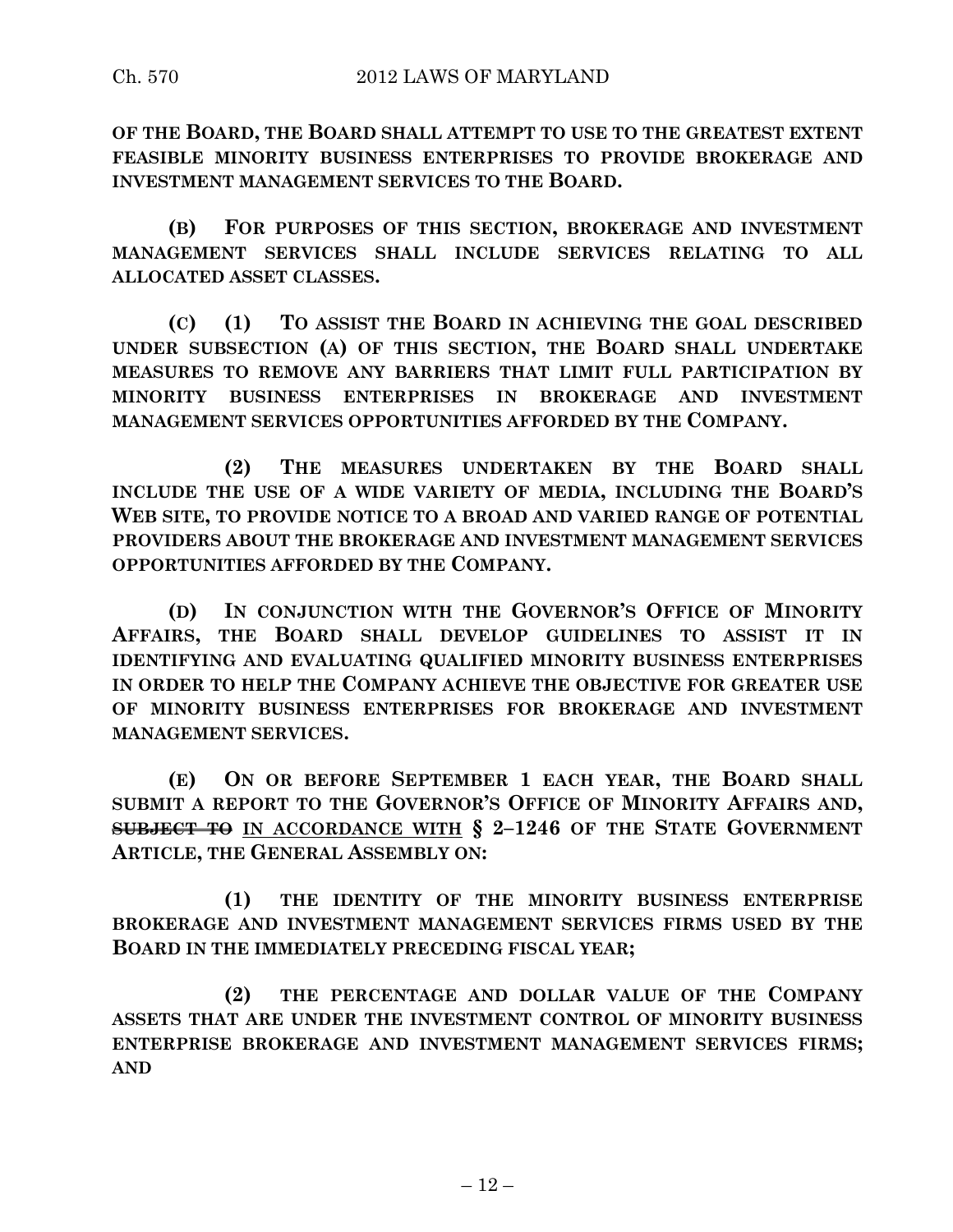**OF THE BOARD, THE BOARD SHALL ATTEMPT TO USE TO THE GREATEST EXTENT FEASIBLE MINORITY BUSINESS ENTERPRISES TO PROVIDE BROKERAGE AND INVESTMENT MANAGEMENT SERVICES TO THE BOARD.**

**(B) FOR PURPOSES OF THIS SECTION, BROKERAGE AND INVESTMENT MANAGEMENT SERVICES SHALL INCLUDE SERVICES RELATING TO ALL ALLOCATED ASSET CLASSES.**

**(C) (1) TO ASSIST THE BOARD IN ACHIEVING THE GOAL DESCRIBED UNDER SUBSECTION (A) OF THIS SECTION, THE BOARD SHALL UNDERTAKE MEASURES TO REMOVE ANY BARRIERS THAT LIMIT FULL PARTICIPATION BY MINORITY BUSINESS ENTERPRISES IN BROKERAGE AND INVESTMENT MANAGEMENT SERVICES OPPORTUNITIES AFFORDED BY THE COMPANY.**

**(2) THE MEASURES UNDERTAKEN BY THE BOARD SHALL INCLUDE THE USE OF A WIDE VARIETY OF MEDIA, INCLUDING THE BOARD'S WEB SITE, TO PROVIDE NOTICE TO A BROAD AND VARIED RANGE OF POTENTIAL PROVIDERS ABOUT THE BROKERAGE AND INVESTMENT MANAGEMENT SERVICES OPPORTUNITIES AFFORDED BY THE COMPANY.**

**(D) IN CONJUNCTION WITH THE GOVERNOR'S OFFICE OF MINORITY AFFAIRS, THE BOARD SHALL DEVELOP GUIDELINES TO ASSIST IT IN IDENTIFYING AND EVALUATING QUALIFIED MINORITY BUSINESS ENTERPRISES IN ORDER TO HELP THE COMPANY ACHIEVE THE OBJECTIVE FOR GREATER USE OF MINORITY BUSINESS ENTERPRISES FOR BROKERAGE AND INVESTMENT MANAGEMENT SERVICES.**

**(E) ON OR BEFORE SEPTEMBER 1 EACH YEAR, THE BOARD SHALL SUBMIT A REPORT TO THE GOVERNOR'S OFFICE OF MINORITY AFFAIRS AND, SUBJECT TO IN ACCORDANCE WITH § 2–1246 OF THE STATE GOVERNMENT ARTICLE, THE GENERAL ASSEMBLY ON:**

**(1) THE IDENTITY OF THE MINORITY BUSINESS ENTERPRISE BROKERAGE AND INVESTMENT MANAGEMENT SERVICES FIRMS USED BY THE BOARD IN THE IMMEDIATELY PRECEDING FISCAL YEAR;**

**(2) THE PERCENTAGE AND DOLLAR VALUE OF THE COMPANY ASSETS THAT ARE UNDER THE INVESTMENT CONTROL OF MINORITY BUSINESS ENTERPRISE BROKERAGE AND INVESTMENT MANAGEMENT SERVICES FIRMS; AND**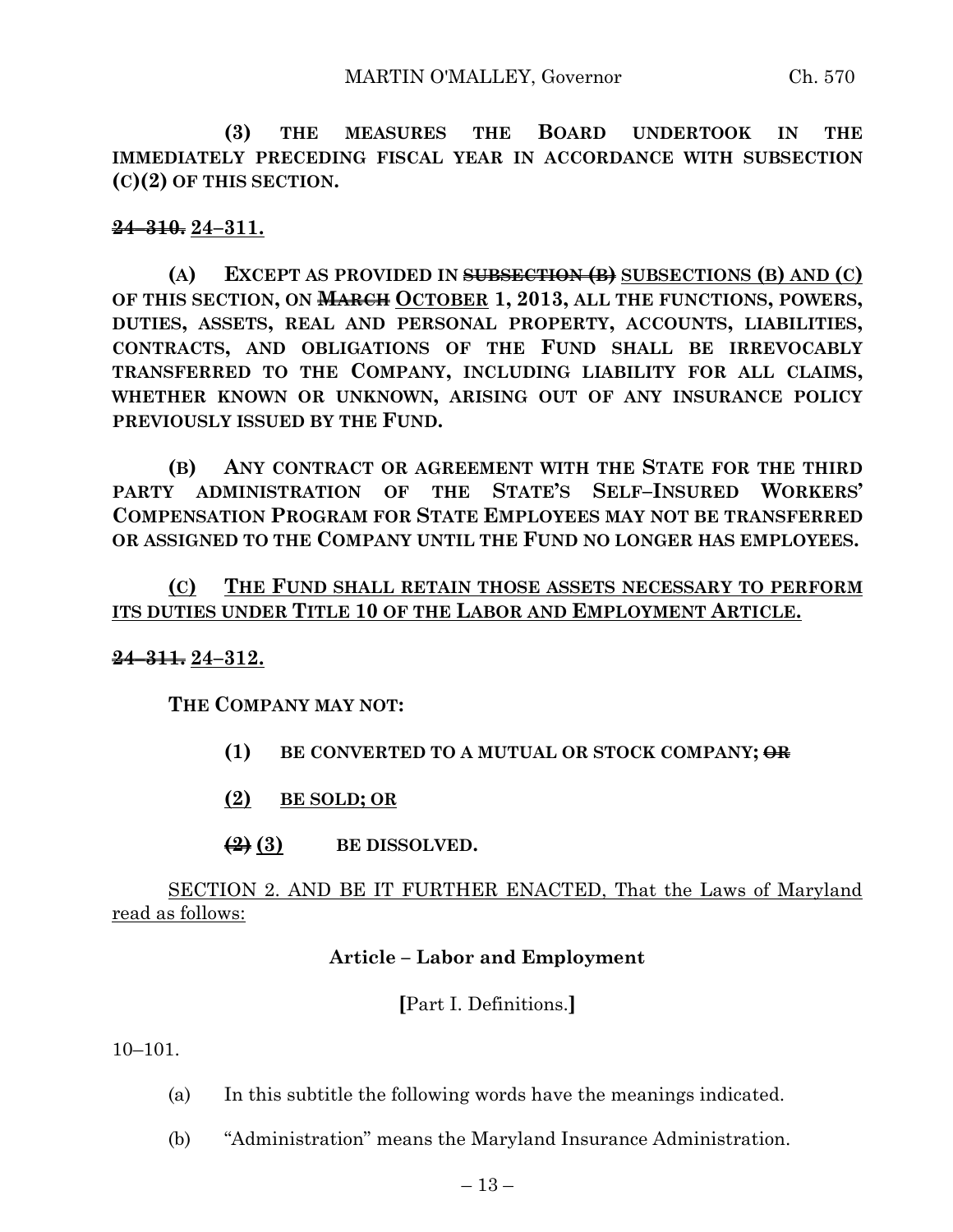**(3) THE MEASURES THE BOARD UNDERTOOK IN THE IMMEDIATELY PRECEDING FISCAL YEAR IN ACCORDANCE WITH SUBSECTION (C)(2) OF THIS SECTION.**

#### **24–310. 24–311.**

**(A) EXCEPT AS PROVIDED IN SUBSECTION (B) SUBSECTIONS (B) AND (C) OF THIS SECTION, ON MARCH OCTOBER 1, 2013, ALL THE FUNCTIONS, POWERS, DUTIES, ASSETS, REAL AND PERSONAL PROPERTY, ACCOUNTS, LIABILITIES, CONTRACTS, AND OBLIGATIONS OF THE FUND SHALL BE IRREVOCABLY TRANSFERRED TO THE COMPANY, INCLUDING LIABILITY FOR ALL CLAIMS, WHETHER KNOWN OR UNKNOWN, ARISING OUT OF ANY INSURANCE POLICY PREVIOUSLY ISSUED BY THE FUND.**

**(B) ANY CONTRACT OR AGREEMENT WITH THE STATE FOR THE THIRD PARTY ADMINISTRATION OF THE STATE'S SELF–INSURED WORKERS' COMPENSATION PROGRAM FOR STATE EMPLOYEES MAY NOT BE TRANSFERRED OR ASSIGNED TO THE COMPANY UNTIL THE FUND NO LONGER HAS EMPLOYEES.**

### **(C) THE FUND SHALL RETAIN THOSE ASSETS NECESSARY TO PERFORM ITS DUTIES UNDER TITLE 10 OF THE LABOR AND EMPLOYMENT ARTICLE.**

#### **24–311. 24–312.**

**THE COMPANY MAY NOT:**

- **(1) BE CONVERTED TO A MUTUAL OR STOCK COMPANY; OR**
- **(2) BE SOLD; OR**
- **(2) (3) BE DISSOLVED.**

SECTION 2. AND BE IT FURTHER ENACTED, That the Laws of Maryland read as follows:

#### **Article – Labor and Employment**

**[**Part I. Definitions.**]**

10–101.

- (a) In this subtitle the following words have the meanings indicated.
- (b) "Administration" means the Maryland Insurance Administration.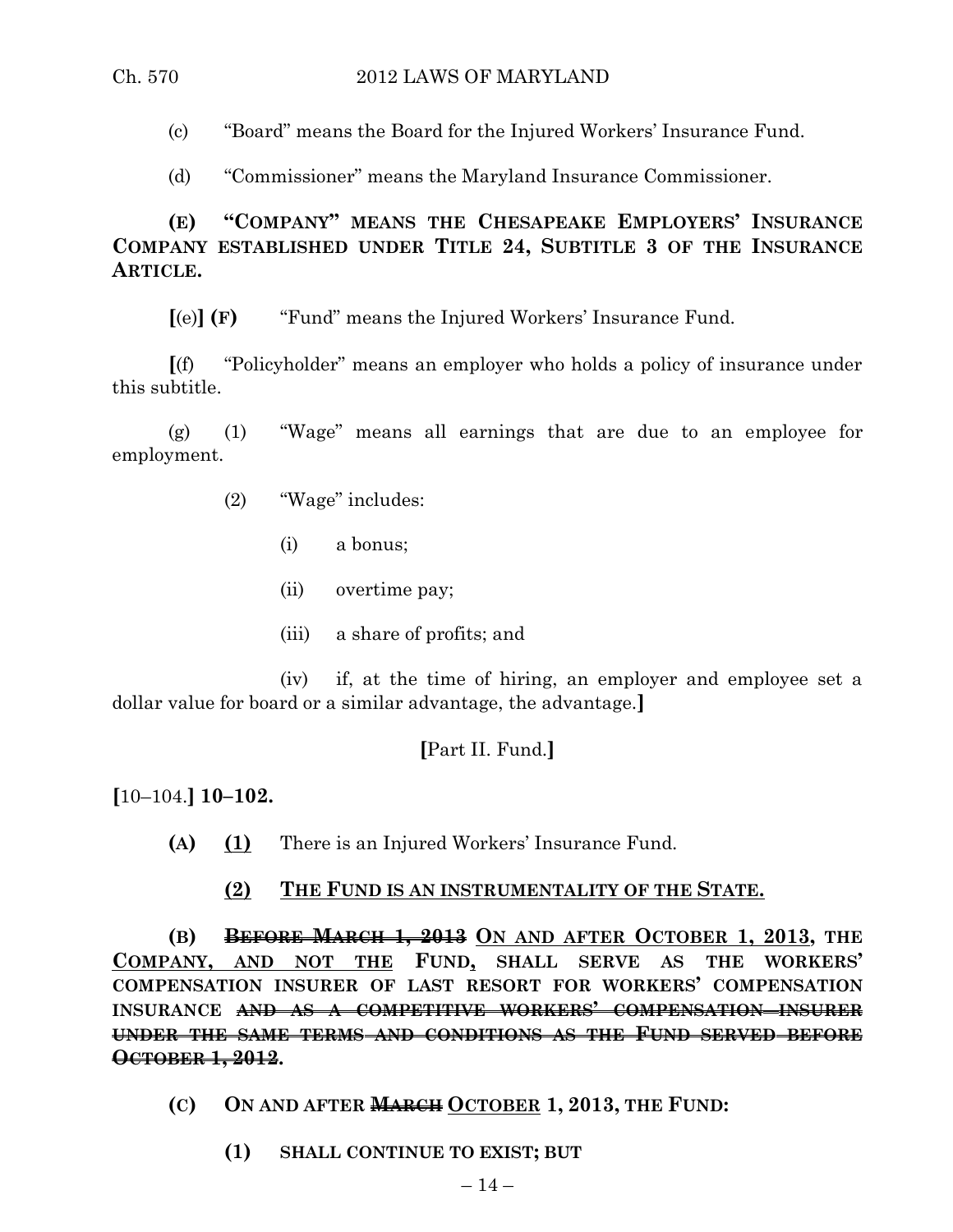(c) "Board" means the Board for the Injured Workers' Insurance Fund.

(d) "Commissioner" means the Maryland Insurance Commissioner.

**(E) "COMPANY" MEANS THE CHESAPEAKE EMPLOYERS' INSURANCE COMPANY ESTABLISHED UNDER TITLE 24, SUBTITLE 3 OF THE INSURANCE ARTICLE.**

**[**(e)**] (F)** "Fund" means the Injured Workers' Insurance Fund.

**[**(f) "Policyholder" means an employer who holds a policy of insurance under this subtitle.

(g) (1) "Wage" means all earnings that are due to an employee for employment.

- (2) "Wage" includes:
	- (i) a bonus;
	- (ii) overtime pay;
	- (iii) a share of profits; and

(iv) if, at the time of hiring, an employer and employee set a dollar value for board or a similar advantage, the advantage.**]**

# **[**Part II. Fund.**]**

**[**10–104.**] 10–102.**

- **(A) (1)** There is an Injured Workers' Insurance Fund.
	- **(2) THE FUND IS AN INSTRUMENTALITY OF THE STATE.**

**(B) BEFORE MARCH 1, 2013 ON AND AFTER OCTOBER 1, 2013, THE COMPANY, AND NOT THE FUND, SHALL SERVE AS THE WORKERS' COMPENSATION INSURER OF LAST RESORT FOR WORKERS' COMPENSATION INSURANCE AND AS A COMPETITIVE WORKERS' COMPENSATION INSURER UNDER THE SAME TERMS AND CONDITIONS AS THE FUND SERVED BEFORE OCTOBER 1, 2012.**

**(C) ON AND AFTER MARCH OCTOBER 1, 2013, THE FUND:**

**(1) SHALL CONTINUE TO EXIST; BUT**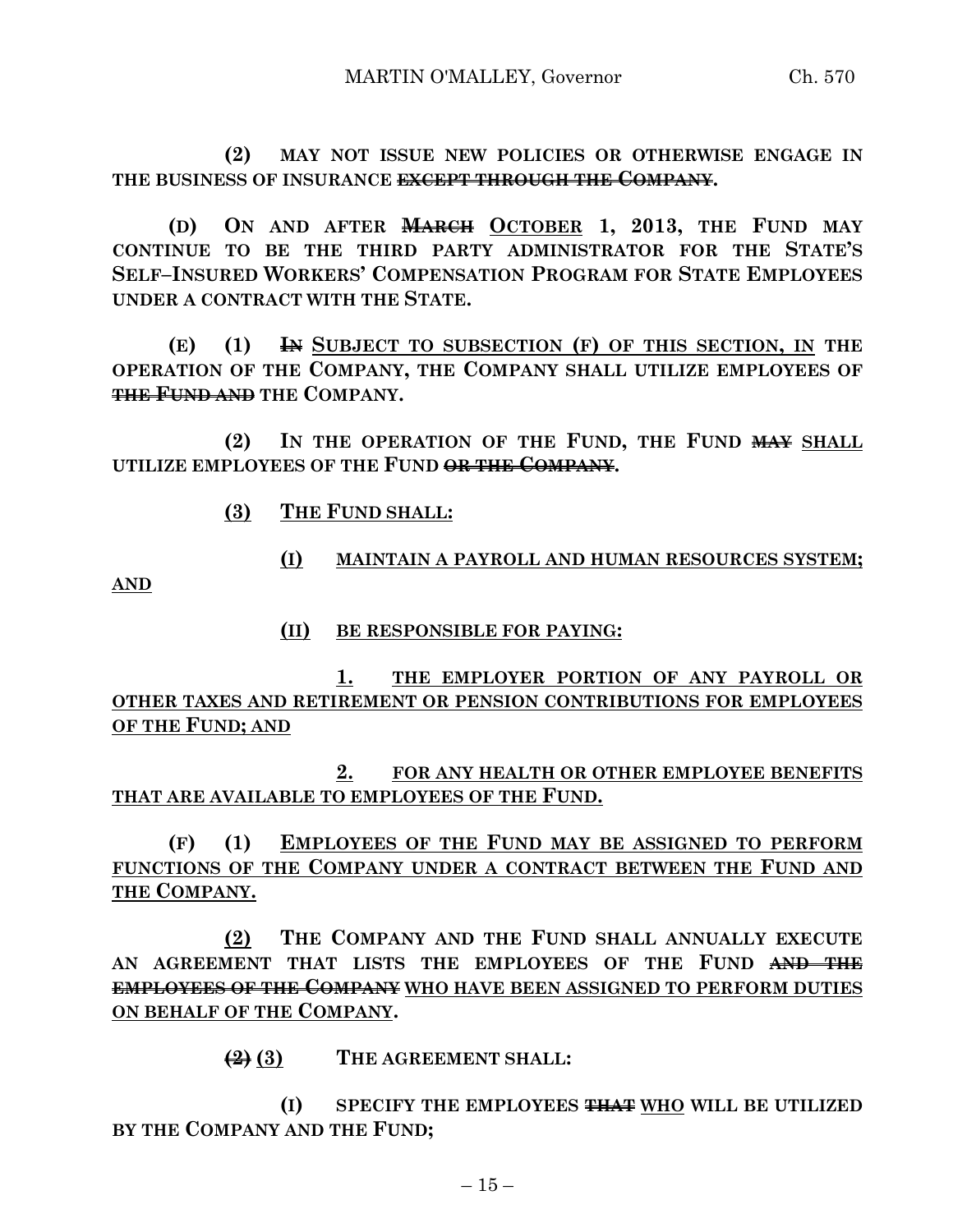**(2) MAY NOT ISSUE NEW POLICIES OR OTHERWISE ENGAGE IN THE BUSINESS OF INSURANCE EXCEPT THROUGH THE COMPANY.**

**(D) ON AND AFTER MARCH OCTOBER 1, 2013, THE FUND MAY CONTINUE TO BE THE THIRD PARTY ADMINISTRATOR FOR THE STATE'S SELF–INSURED WORKERS' COMPENSATION PROGRAM FOR STATE EMPLOYEES UNDER A CONTRACT WITH THE STATE.**

**(E) (1) IN SUBJECT TO SUBSECTION (F) OF THIS SECTION, IN THE OPERATION OF THE COMPANY, THE COMPANY SHALL UTILIZE EMPLOYEES OF THE FUND AND THE COMPANY.**

**(2) IN THE OPERATION OF THE FUND, THE FUND MAY SHALL UTILIZE EMPLOYEES OF THE FUND OR THE COMPANY.**

**(3) THE FUND SHALL:**

**(I) MAINTAIN A PAYROLL AND HUMAN RESOURCES SYSTEM;**

**AND**

#### **(II) BE RESPONSIBLE FOR PAYING:**

**1. THE EMPLOYER PORTION OF ANY PAYROLL OR OTHER TAXES AND RETIREMENT OR PENSION CONTRIBUTIONS FOR EMPLOYEES OF THE FUND; AND**

**2. FOR ANY HEALTH OR OTHER EMPLOYEE BENEFITS THAT ARE AVAILABLE TO EMPLOYEES OF THE FUND.**

**(F) (1) EMPLOYEES OF THE FUND MAY BE ASSIGNED TO PERFORM FUNCTIONS OF THE COMPANY UNDER A CONTRACT BETWEEN THE FUND AND THE COMPANY.**

**(2) THE COMPANY AND THE FUND SHALL ANNUALLY EXECUTE AN AGREEMENT THAT LISTS THE EMPLOYEES OF THE FUND AND THE EMPLOYEES OF THE COMPANY WHO HAVE BEEN ASSIGNED TO PERFORM DUTIES ON BEHALF OF THE COMPANY.**

**(2) (3) THE AGREEMENT SHALL:**

**(I) SPECIFY THE EMPLOYEES THAT WHO WILL BE UTILIZED BY THE COMPANY AND THE FUND;**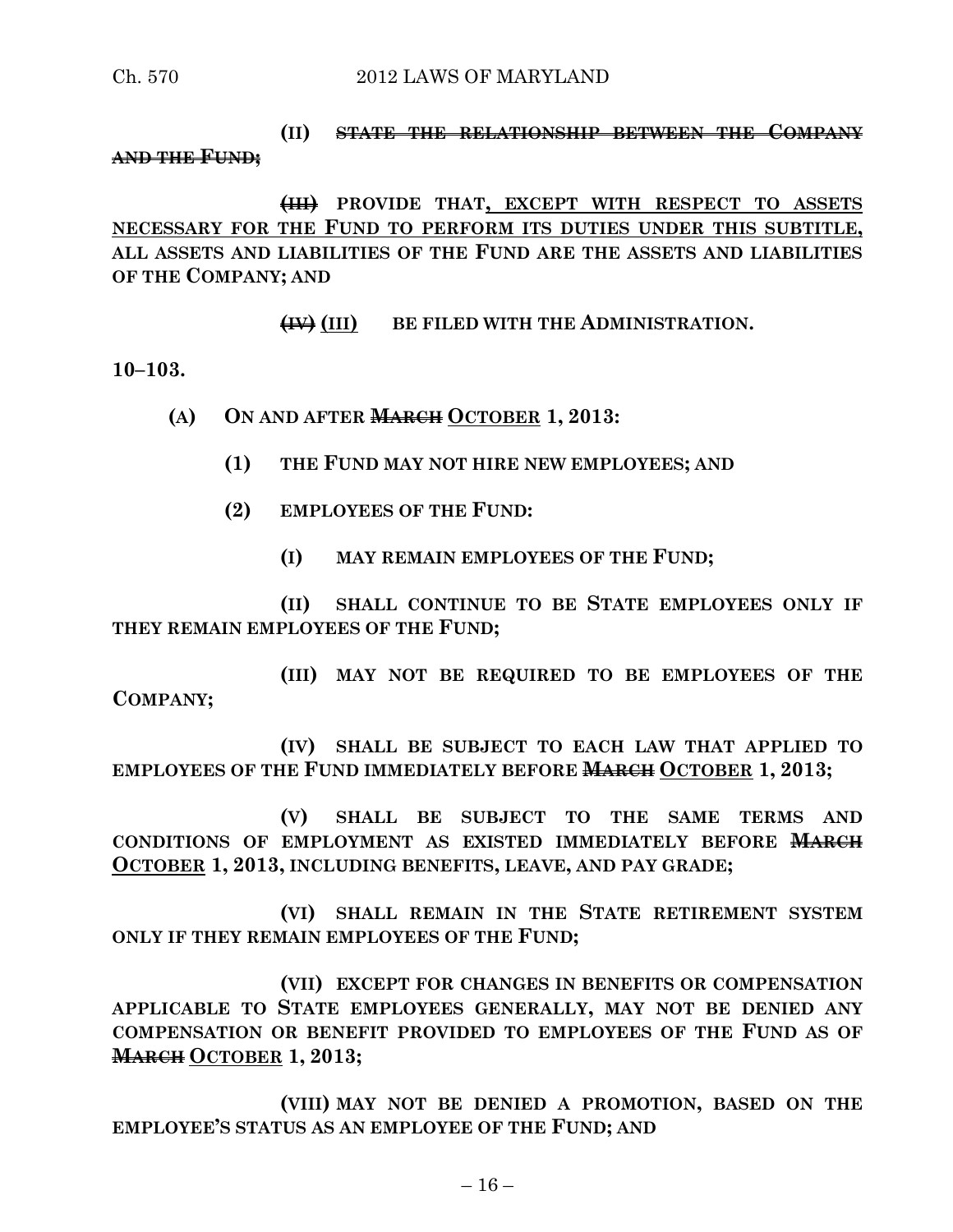# **(II) STATE THE RELATIONSHIP BETWEEN THE COMPANY AND THE FUND;**

# **(III) PROVIDE THAT, EXCEPT WITH RESPECT TO ASSETS NECESSARY FOR THE FUND TO PERFORM ITS DUTIES UNDER THIS SUBTITLE, ALL ASSETS AND LIABILITIES OF THE FUND ARE THE ASSETS AND LIABILITIES OF THE COMPANY; AND**

**(IV) (III) BE FILED WITH THE ADMINISTRATION.**

**10–103.**

- **(A) ON AND AFTER MARCH OCTOBER 1, 2013:**
	- **(1) THE FUND MAY NOT HIRE NEW EMPLOYEES; AND**
	- **(2) EMPLOYEES OF THE FUND:**
		- **(I) MAY REMAIN EMPLOYEES OF THE FUND;**

**(II) SHALL CONTINUE TO BE STATE EMPLOYEES ONLY IF THEY REMAIN EMPLOYEES OF THE FUND;**

**(III) MAY NOT BE REQUIRED TO BE EMPLOYEES OF THE COMPANY;**

**(IV) SHALL BE SUBJECT TO EACH LAW THAT APPLIED TO EMPLOYEES OF THE FUND IMMEDIATELY BEFORE MARCH OCTOBER 1, 2013;**

**(V) SHALL BE SUBJECT TO THE SAME TERMS AND CONDITIONS OF EMPLOYMENT AS EXISTED IMMEDIATELY BEFORE MARCH OCTOBER 1, 2013, INCLUDING BENEFITS, LEAVE, AND PAY GRADE;**

**(VI) SHALL REMAIN IN THE STATE RETIREMENT SYSTEM ONLY IF THEY REMAIN EMPLOYEES OF THE FUND;**

**(VII) EXCEPT FOR CHANGES IN BENEFITS OR COMPENSATION APPLICABLE TO STATE EMPLOYEES GENERALLY, MAY NOT BE DENIED ANY COMPENSATION OR BENEFIT PROVIDED TO EMPLOYEES OF THE FUND AS OF MARCH OCTOBER 1, 2013;**

**(VIII) MAY NOT BE DENIED A PROMOTION, BASED ON THE EMPLOYEE'S STATUS AS AN EMPLOYEE OF THE FUND; AND**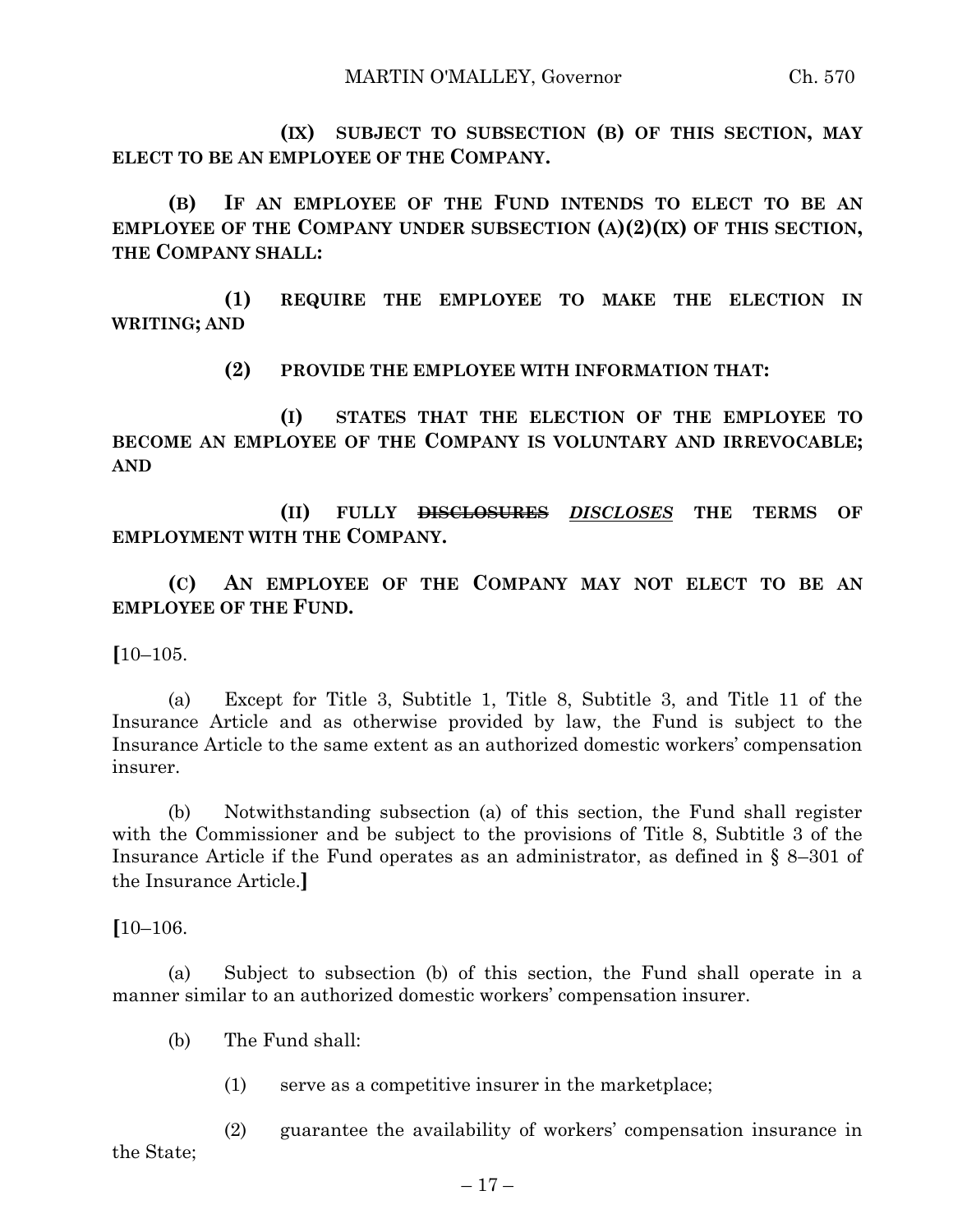**(IX) SUBJECT TO SUBSECTION (B) OF THIS SECTION, MAY ELECT TO BE AN EMPLOYEE OF THE COMPANY.**

**(B) IF AN EMPLOYEE OF THE FUND INTENDS TO ELECT TO BE AN EMPLOYEE OF THE COMPANY UNDER SUBSECTION (A)(2)(IX) OF THIS SECTION, THE COMPANY SHALL:**

**(1) REQUIRE THE EMPLOYEE TO MAKE THE ELECTION IN WRITING; AND**

**(2) PROVIDE THE EMPLOYEE WITH INFORMATION THAT:**

**(I) STATES THAT THE ELECTION OF THE EMPLOYEE TO BECOME AN EMPLOYEE OF THE COMPANY IS VOLUNTARY AND IRREVOCABLE; AND**

**(II) FULLY DISCLOSURES** *DISCLOSES* **THE TERMS OF EMPLOYMENT WITH THE COMPANY.**

**(C) AN EMPLOYEE OF THE COMPANY MAY NOT ELECT TO BE AN EMPLOYEE OF THE FUND.**

**[**10–105.

(a) Except for Title 3, Subtitle 1, Title 8, Subtitle 3, and Title 11 of the Insurance Article and as otherwise provided by law, the Fund is subject to the Insurance Article to the same extent as an authorized domestic workers' compensation insurer.

(b) Notwithstanding subsection (a) of this section, the Fund shall register with the Commissioner and be subject to the provisions of Title 8, Subtitle 3 of the Insurance Article if the Fund operates as an administrator, as defined in § 8–301 of the Insurance Article.**]**

**[**10–106.

(a) Subject to subsection (b) of this section, the Fund shall operate in a manner similar to an authorized domestic workers' compensation insurer.

- (b) The Fund shall:
	- (1) serve as a competitive insurer in the marketplace;

(2) guarantee the availability of workers' compensation insurance in the State;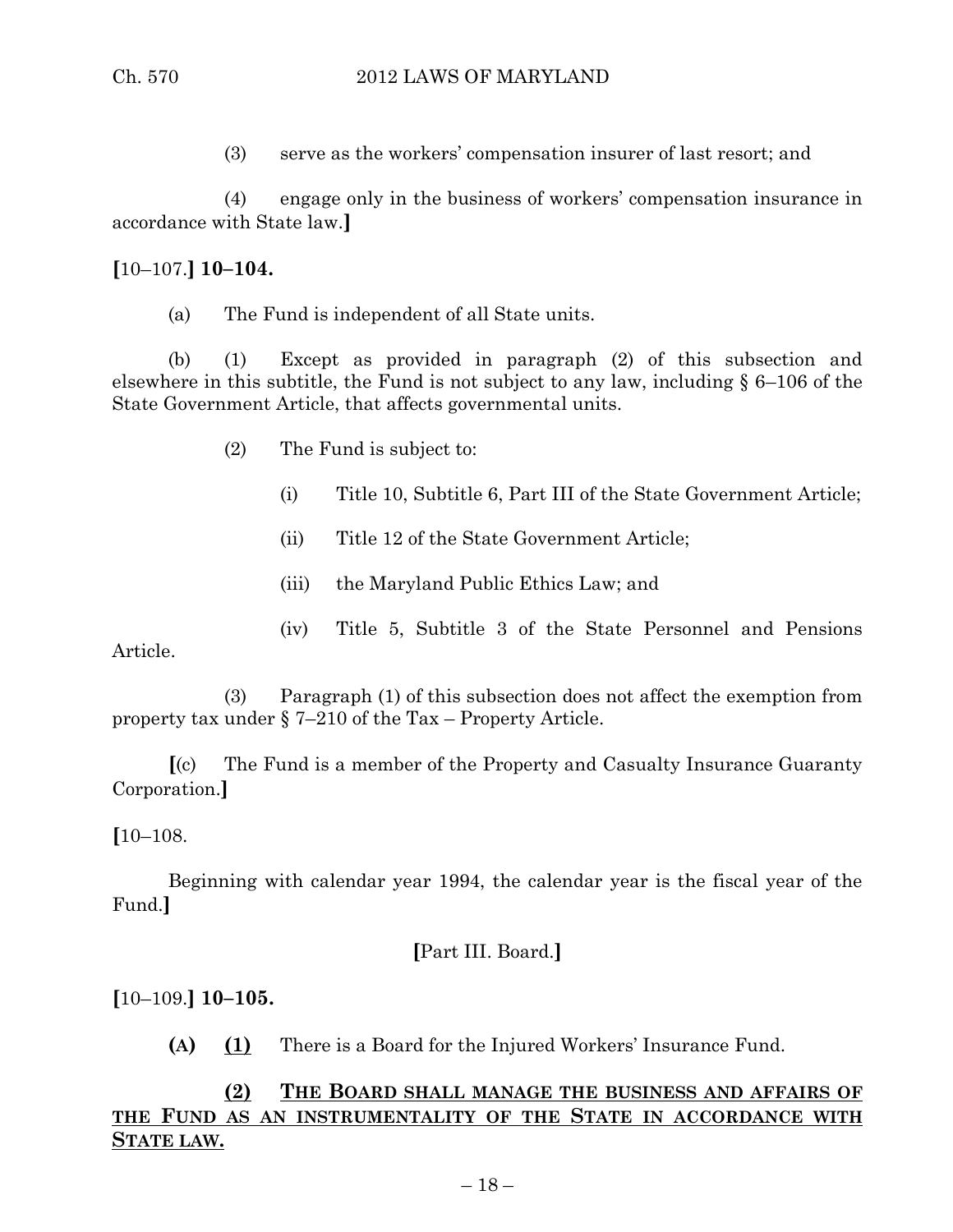(3) serve as the workers' compensation insurer of last resort; and

(4) engage only in the business of workers' compensation insurance in accordance with State law.**]**

### **[**10–107.**] 10–104.**

(a) The Fund is independent of all State units.

(b) (1) Except as provided in paragraph (2) of this subsection and elsewhere in this subtitle, the Fund is not subject to any law, including § 6–106 of the State Government Article, that affects governmental units.

- (2) The Fund is subject to:
	- (i) Title 10, Subtitle 6, Part III of the State Government Article;
	- (ii) Title 12 of the State Government Article;
	- (iii) the Maryland Public Ethics Law; and
- (iv) Title 5, Subtitle 3 of the State Personnel and Pensions Article.

(3) Paragraph (1) of this subsection does not affect the exemption from property tax under § 7–210 of the Tax – Property Article.

**[**(c) The Fund is a member of the Property and Casualty Insurance Guaranty Corporation.**]**

**[**10–108.

Beginning with calendar year 1994, the calendar year is the fiscal year of the Fund.**]**

### **[**Part III. Board.**]**

**[**10–109.**] 10–105.**

**(A) (1)** There is a Board for the Injured Workers' Insurance Fund.

### **(2) THE BOARD SHALL MANAGE THE BUSINESS AND AFFAIRS OF THE FUND AS AN INSTRUMENTALITY OF THE STATE IN ACCORDANCE WITH STATE LAW.**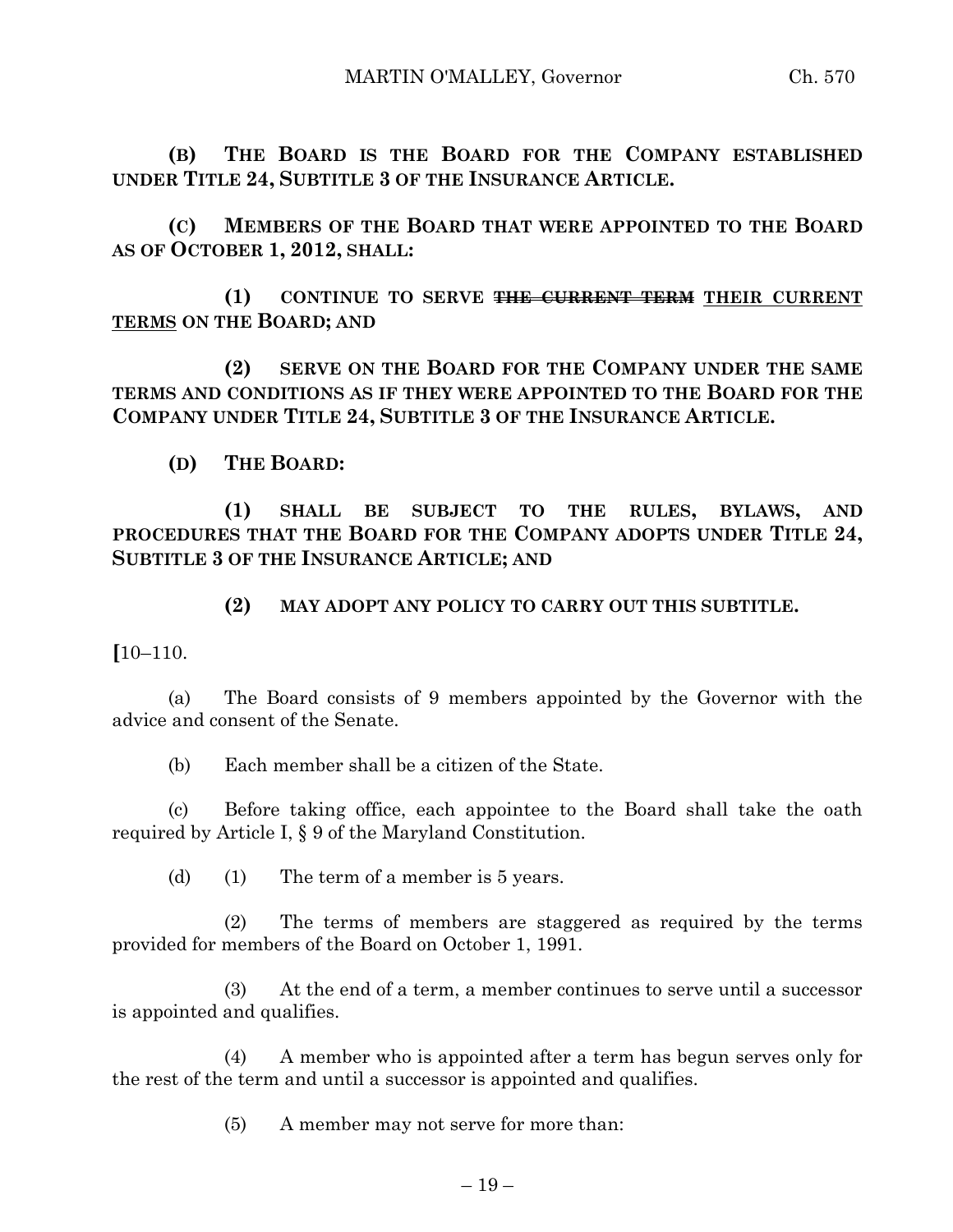**(B) THE BOARD IS THE BOARD FOR THE COMPANY ESTABLISHED UNDER TITLE 24, SUBTITLE 3 OF THE INSURANCE ARTICLE.**

**(C) MEMBERS OF THE BOARD THAT WERE APPOINTED TO THE BOARD AS OF OCTOBER 1, 2012, SHALL:**

**(1) CONTINUE TO SERVE THE CURRENT TERM THEIR CURRENT TERMS ON THE BOARD; AND**

**(2) SERVE ON THE BOARD FOR THE COMPANY UNDER THE SAME TERMS AND CONDITIONS AS IF THEY WERE APPOINTED TO THE BOARD FOR THE COMPANY UNDER TITLE 24, SUBTITLE 3 OF THE INSURANCE ARTICLE.**

**(D) THE BOARD:**

**(1) SHALL BE SUBJECT TO THE RULES, BYLAWS, AND PROCEDURES THAT THE BOARD FOR THE COMPANY ADOPTS UNDER TITLE 24, SUBTITLE 3 OF THE INSURANCE ARTICLE; AND** 

**(2) MAY ADOPT ANY POLICY TO CARRY OUT THIS SUBTITLE.**

**[**10–110.

(a) The Board consists of 9 members appointed by the Governor with the advice and consent of the Senate.

(b) Each member shall be a citizen of the State.

(c) Before taking office, each appointee to the Board shall take the oath required by Article I, § 9 of the Maryland Constitution.

(d) (1) The term of a member is 5 years.

(2) The terms of members are staggered as required by the terms provided for members of the Board on October 1, 1991.

(3) At the end of a term, a member continues to serve until a successor is appointed and qualifies.

(4) A member who is appointed after a term has begun serves only for the rest of the term and until a successor is appointed and qualifies.

(5) A member may not serve for more than: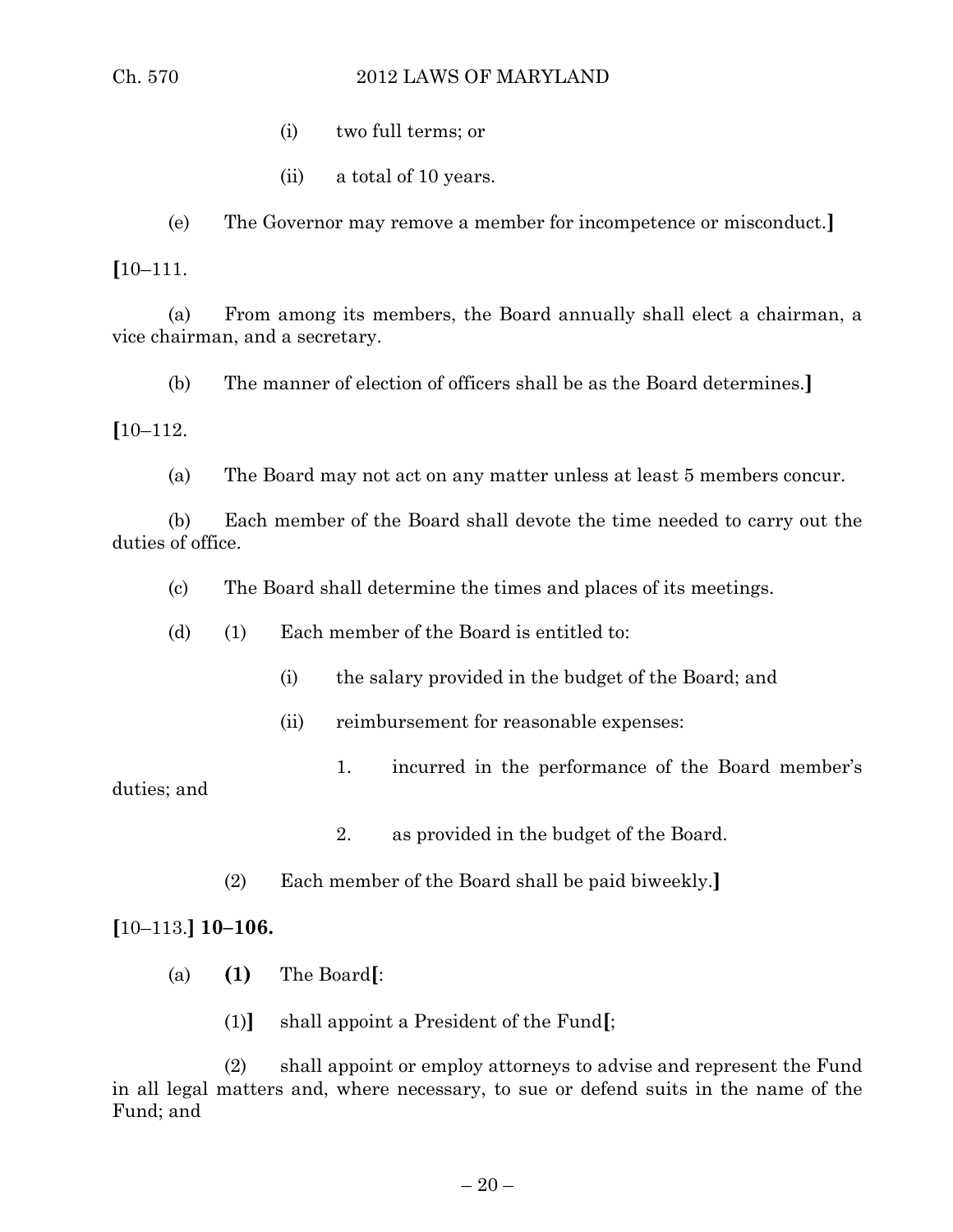- (i) two full terms; or
- (ii) a total of 10 years.

(e) The Governor may remove a member for incompetence or misconduct.**]**

**[**10–111.

(a) From among its members, the Board annually shall elect a chairman, a vice chairman, and a secretary.

(b) The manner of election of officers shall be as the Board determines.**]**

**[**10–112.

(a) The Board may not act on any matter unless at least 5 members concur.

(b) Each member of the Board shall devote the time needed to carry out the duties of office.

(c) The Board shall determine the times and places of its meetings.

(d) (1) Each member of the Board is entitled to:

- (i) the salary provided in the budget of the Board; and
- (ii) reimbursement for reasonable expenses:
	- 1. incurred in the performance of the Board member's

duties; and

- 2. as provided in the budget of the Board.
- (2) Each member of the Board shall be paid biweekly.**]**

### **[**10–113.**] 10–106.**

- (a) **(1)** The Board**[**:
	- (1)**]** shall appoint a President of the Fund**[**;

(2) shall appoint or employ attorneys to advise and represent the Fund in all legal matters and, where necessary, to sue or defend suits in the name of the Fund; and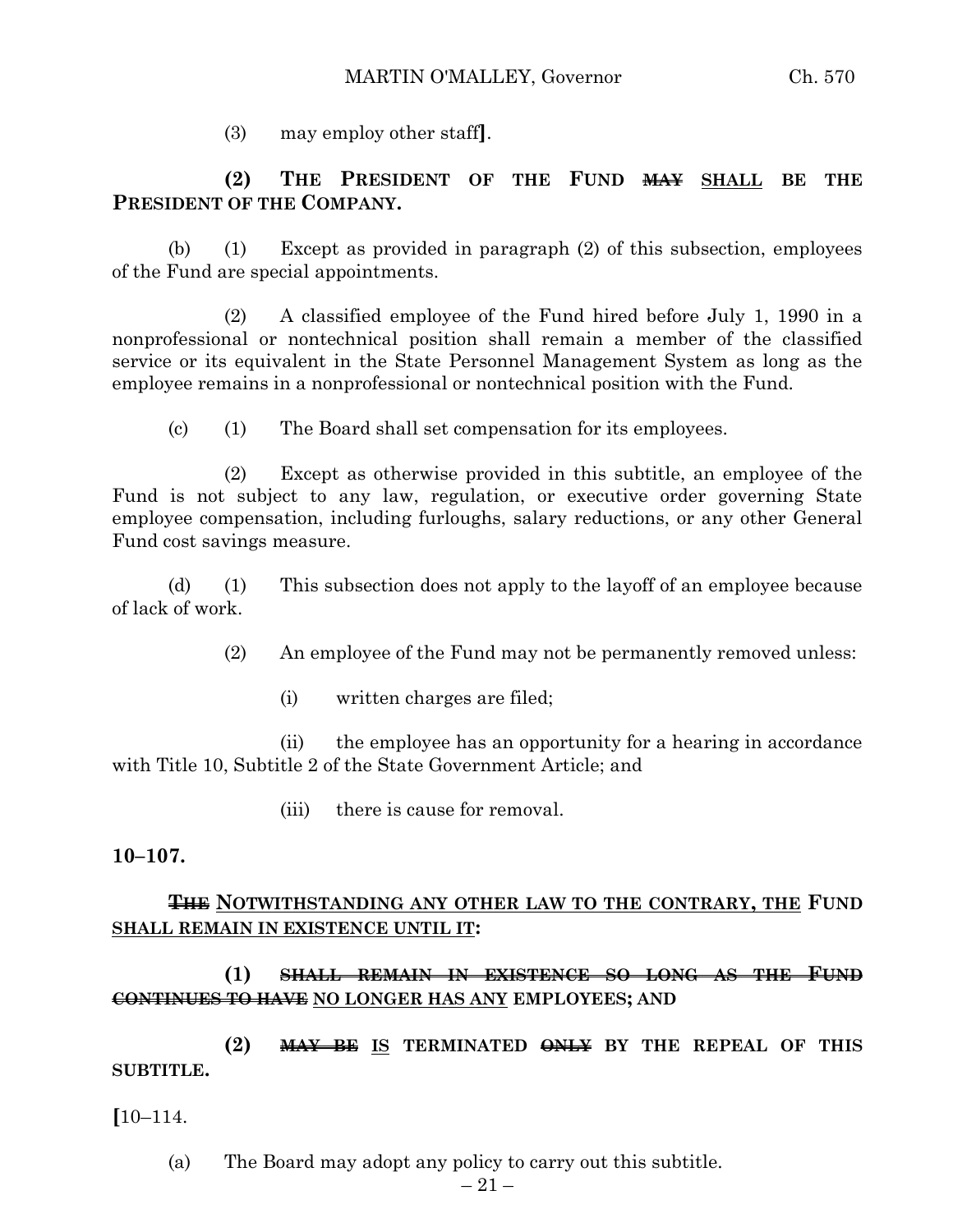(3) may employ other staff**]**.

**(2) THE PRESIDENT OF THE FUND MAY SHALL BE THE PRESIDENT OF THE COMPANY.**

(b) (1) Except as provided in paragraph (2) of this subsection, employees of the Fund are special appointments.

(2) A classified employee of the Fund hired before July 1, 1990 in a nonprofessional or nontechnical position shall remain a member of the classified service or its equivalent in the State Personnel Management System as long as the employee remains in a nonprofessional or nontechnical position with the Fund.

(c) (1) The Board shall set compensation for its employees.

(2) Except as otherwise provided in this subtitle, an employee of the Fund is not subject to any law, regulation, or executive order governing State employee compensation, including furloughs, salary reductions, or any other General Fund cost savings measure.

(d) (1) This subsection does not apply to the layoff of an employee because of lack of work.

(2) An employee of the Fund may not be permanently removed unless:

(i) written charges are filed;

(ii) the employee has an opportunity for a hearing in accordance with Title 10, Subtitle 2 of the State Government Article; and

(iii) there is cause for removal.

### **10–107.**

### **THE NOTWITHSTANDING ANY OTHER LAW TO THE CONTRARY, THE FUND SHALL REMAIN IN EXISTENCE UNTIL IT:**

# **(1) SHALL REMAIN IN EXISTENCE SO LONG AS THE FUND CONTINUES TO HAVE NO LONGER HAS ANY EMPLOYEES; AND**

**(2) MAY BE IS TERMINATED ONLY BY THE REPEAL OF THIS SUBTITLE.**

**[**10–114.

(a) The Board may adopt any policy to carry out this subtitle.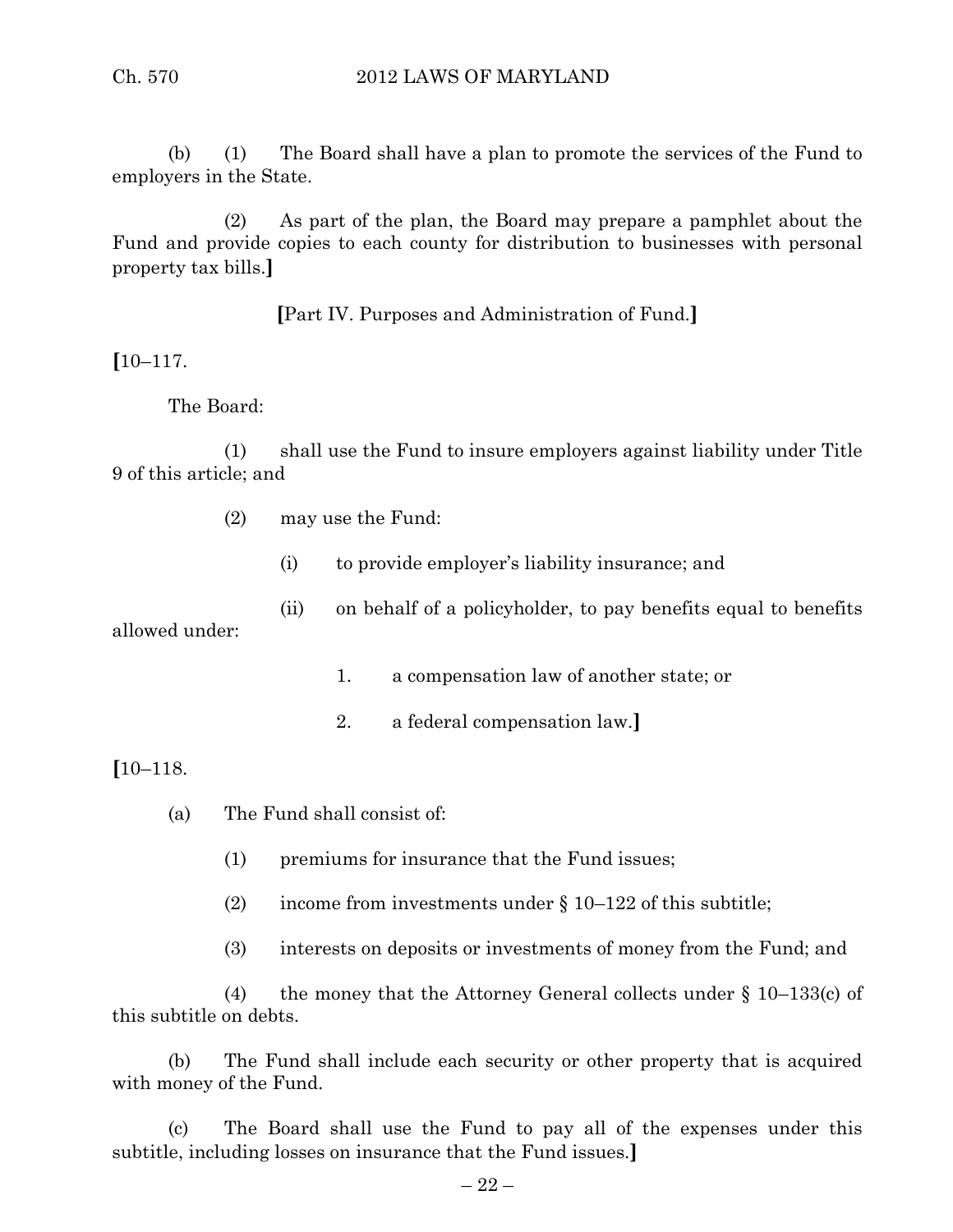(b) (1) The Board shall have a plan to promote the services of the Fund to employers in the State.

(2) As part of the plan, the Board may prepare a pamphlet about the Fund and provide copies to each county for distribution to businesses with personal property tax bills.**]**

**[**Part IV. Purposes and Administration of Fund.**]**

**[**10–117.

The Board:

(1) shall use the Fund to insure employers against liability under Title 9 of this article; and

- (2) may use the Fund:
	- (i) to provide employer's liability insurance; and
- (ii) on behalf of a policyholder, to pay benefits equal to benefits

allowed under:

- 1. a compensation law of another state; or
- 2. a federal compensation law.**]**

**[**10–118.

- (a) The Fund shall consist of:
	- (1) premiums for insurance that the Fund issues;
	- (2) income from investments under  $\S 10-122$  of this subtitle;
	- (3) interests on deposits or investments of money from the Fund; and

(4) the money that the Attorney General collects under  $\S$  10–133(c) of this subtitle on debts.

(b) The Fund shall include each security or other property that is acquired with money of the Fund.

(c) The Board shall use the Fund to pay all of the expenses under this subtitle, including losses on insurance that the Fund issues.**]**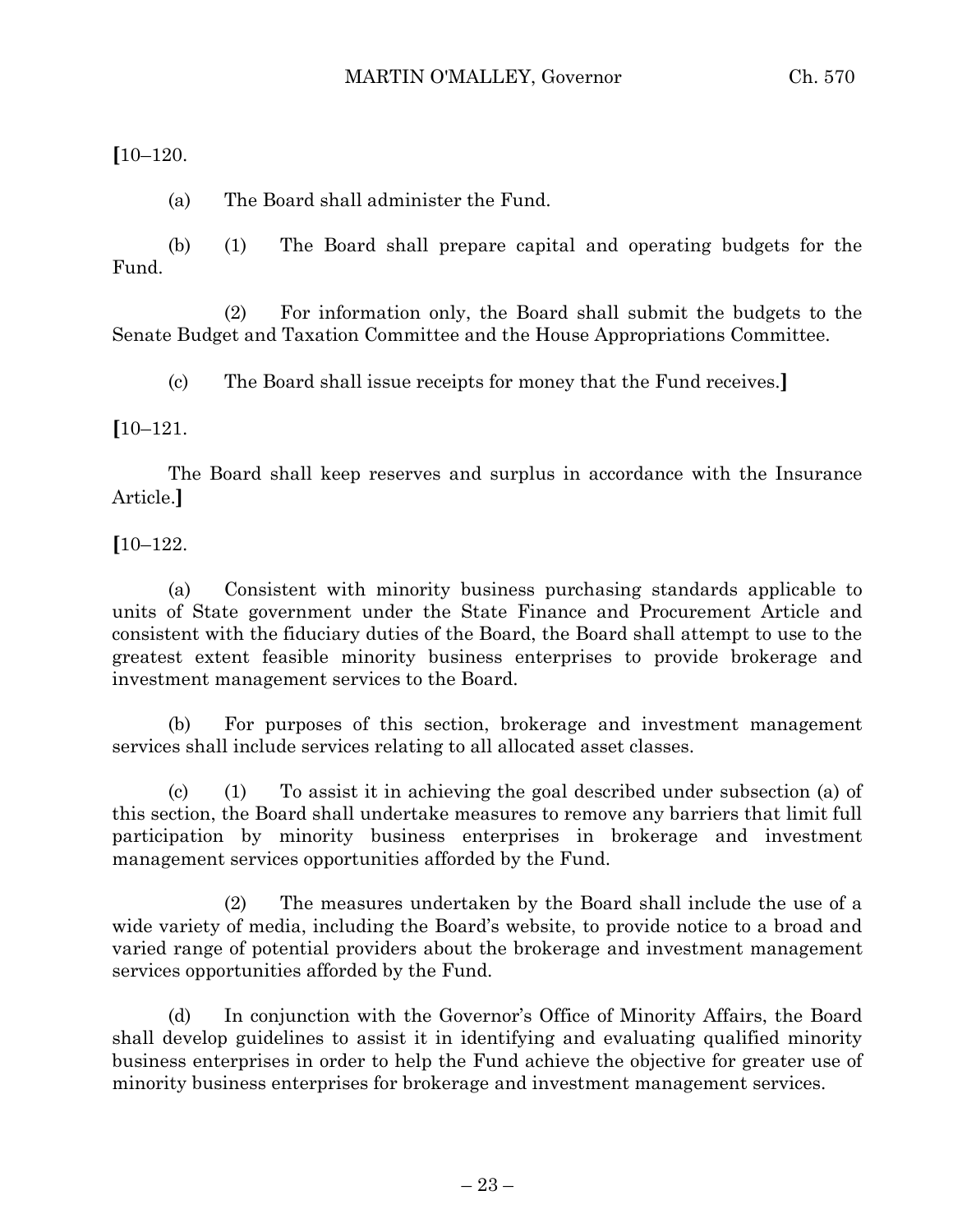**[**10–120.

(a) The Board shall administer the Fund.

(b) (1) The Board shall prepare capital and operating budgets for the Fund.

(2) For information only, the Board shall submit the budgets to the Senate Budget and Taxation Committee and the House Appropriations Committee.

(c) The Board shall issue receipts for money that the Fund receives.**]**

**[**10–121.

The Board shall keep reserves and surplus in accordance with the Insurance Article.**]**

**[**10–122.

(a) Consistent with minority business purchasing standards applicable to units of State government under the State Finance and Procurement Article and consistent with the fiduciary duties of the Board, the Board shall attempt to use to the greatest extent feasible minority business enterprises to provide brokerage and investment management services to the Board.

(b) For purposes of this section, brokerage and investment management services shall include services relating to all allocated asset classes.

(c) (1) To assist it in achieving the goal described under subsection (a) of this section, the Board shall undertake measures to remove any barriers that limit full participation by minority business enterprises in brokerage and investment management services opportunities afforded by the Fund.

(2) The measures undertaken by the Board shall include the use of a wide variety of media, including the Board's website, to provide notice to a broad and varied range of potential providers about the brokerage and investment management services opportunities afforded by the Fund.

(d) In conjunction with the Governor's Office of Minority Affairs, the Board shall develop guidelines to assist it in identifying and evaluating qualified minority business enterprises in order to help the Fund achieve the objective for greater use of minority business enterprises for brokerage and investment management services.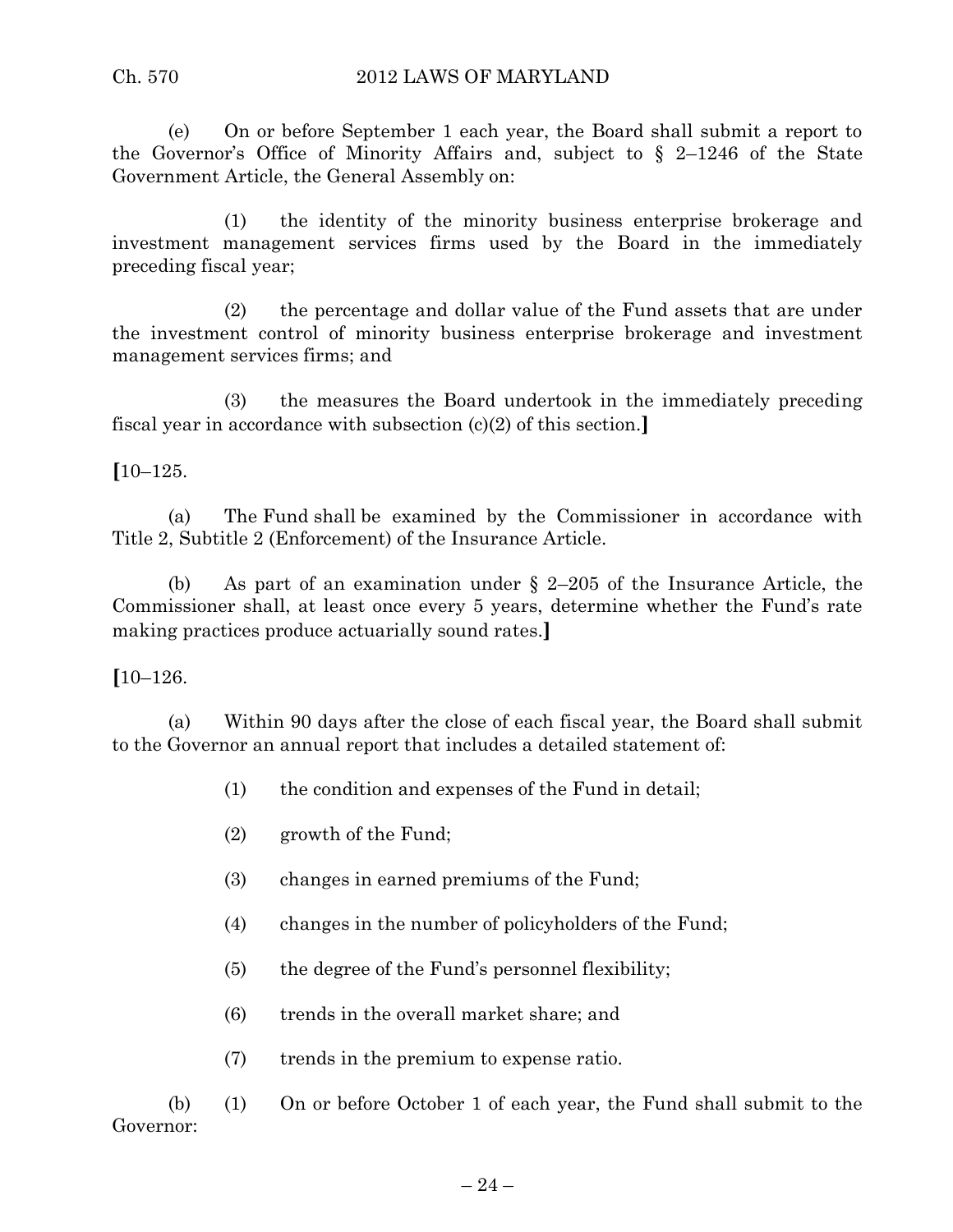(e) On or before September 1 each year, the Board shall submit a report to the Governor's Office of Minority Affairs and, subject to  $\S$  2–1246 of the State Government Article, the General Assembly on:

(1) the identity of the minority business enterprise brokerage and investment management services firms used by the Board in the immediately preceding fiscal year;

(2) the percentage and dollar value of the Fund assets that are under the investment control of minority business enterprise brokerage and investment management services firms; and

(3) the measures the Board undertook in the immediately preceding fiscal year in accordance with subsection (c)(2) of this section.**]**

**[**10–125.

(a) The Fund shall be examined by the Commissioner in accordance with Title 2, Subtitle 2 (Enforcement) of the Insurance Article.

(b) As part of an examination under § 2–205 of the Insurance Article, the Commissioner shall, at least once every 5 years, determine whether the Fund's rate making practices produce actuarially sound rates.**]**

**[**10–126.

(a) Within 90 days after the close of each fiscal year, the Board shall submit to the Governor an annual report that includes a detailed statement of:

- (1) the condition and expenses of the Fund in detail;
- (2) growth of the Fund;
- (3) changes in earned premiums of the Fund;
- (4) changes in the number of policyholders of the Fund;
- (5) the degree of the Fund's personnel flexibility;
- (6) trends in the overall market share; and
- (7) trends in the premium to expense ratio.

(b) (1) On or before October 1 of each year, the Fund shall submit to the Governor: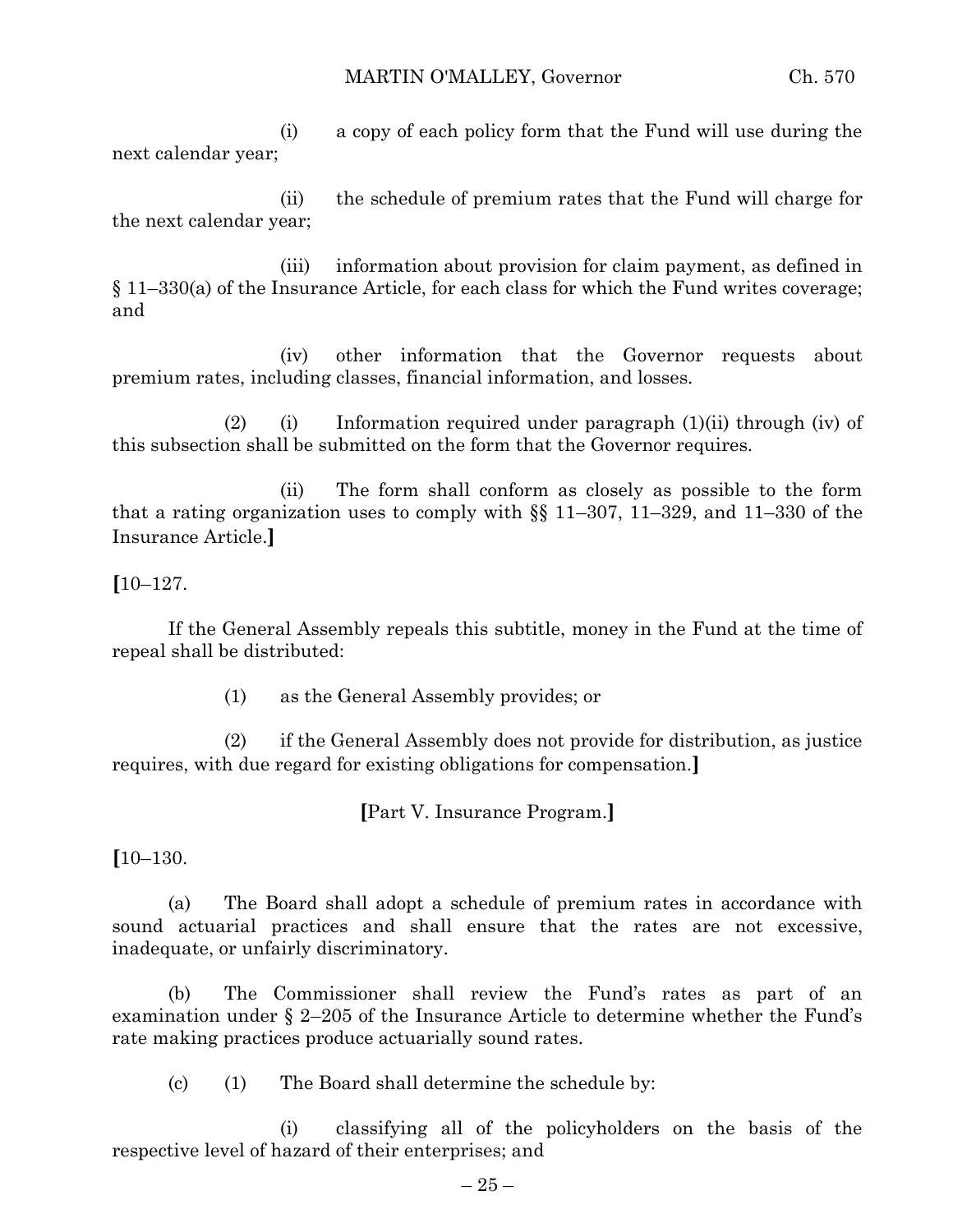MARTIN O'MALLEY, Governor Ch. 570

(i) a copy of each policy form that the Fund will use during the next calendar year;

(ii) the schedule of premium rates that the Fund will charge for the next calendar year;

(iii) information about provision for claim payment, as defined in § 11–330(a) of the Insurance Article, for each class for which the Fund writes coverage; and

(iv) other information that the Governor requests about premium rates, including classes, financial information, and losses.

(2) (i) Information required under paragraph  $(1)(ii)$  through (iv) of this subsection shall be submitted on the form that the Governor requires.

(ii) The form shall conform as closely as possible to the form that a rating organization uses to comply with §§ 11–307, 11–329, and 11–330 of the Insurance Article.**]**

**[**10–127.

If the General Assembly repeals this subtitle, money in the Fund at the time of repeal shall be distributed:

(1) as the General Assembly provides; or

(2) if the General Assembly does not provide for distribution, as justice requires, with due regard for existing obligations for compensation.**]**

**[**Part V. Insurance Program.**]**

**[**10–130.

(a) The Board shall adopt a schedule of premium rates in accordance with sound actuarial practices and shall ensure that the rates are not excessive, inadequate, or unfairly discriminatory.

(b) The Commissioner shall review the Fund's rates as part of an examination under § 2–205 of the Insurance Article to determine whether the Fund's rate making practices produce actuarially sound rates.

(c) (1) The Board shall determine the schedule by:

(i) classifying all of the policyholders on the basis of the respective level of hazard of their enterprises; and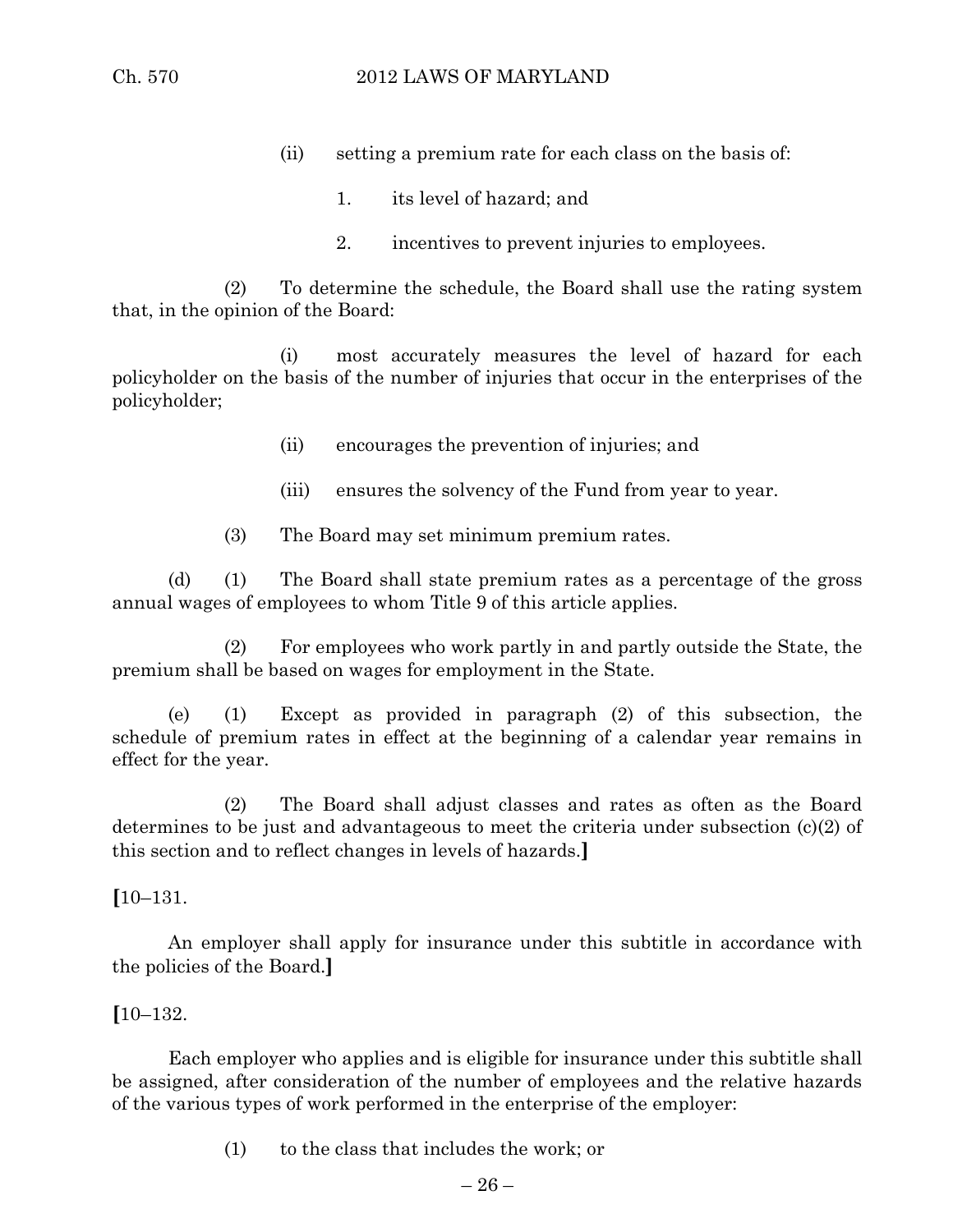- (ii) setting a premium rate for each class on the basis of:
	- 1. its level of hazard; and
	- 2. incentives to prevent injuries to employees.

(2) To determine the schedule, the Board shall use the rating system that, in the opinion of the Board:

(i) most accurately measures the level of hazard for each policyholder on the basis of the number of injuries that occur in the enterprises of the policyholder;

- (ii) encourages the prevention of injuries; and
- (iii) ensures the solvency of the Fund from year to year.
- (3) The Board may set minimum premium rates.

(d) (1) The Board shall state premium rates as a percentage of the gross annual wages of employees to whom Title 9 of this article applies.

(2) For employees who work partly in and partly outside the State, the premium shall be based on wages for employment in the State.

(e) (1) Except as provided in paragraph (2) of this subsection, the schedule of premium rates in effect at the beginning of a calendar year remains in effect for the year.

(2) The Board shall adjust classes and rates as often as the Board determines to be just and advantageous to meet the criteria under subsection (c)(2) of this section and to reflect changes in levels of hazards.**]**

**[**10–131.

An employer shall apply for insurance under this subtitle in accordance with the policies of the Board.**]**

**[**10–132.

Each employer who applies and is eligible for insurance under this subtitle shall be assigned, after consideration of the number of employees and the relative hazards of the various types of work performed in the enterprise of the employer:

(1) to the class that includes the work; or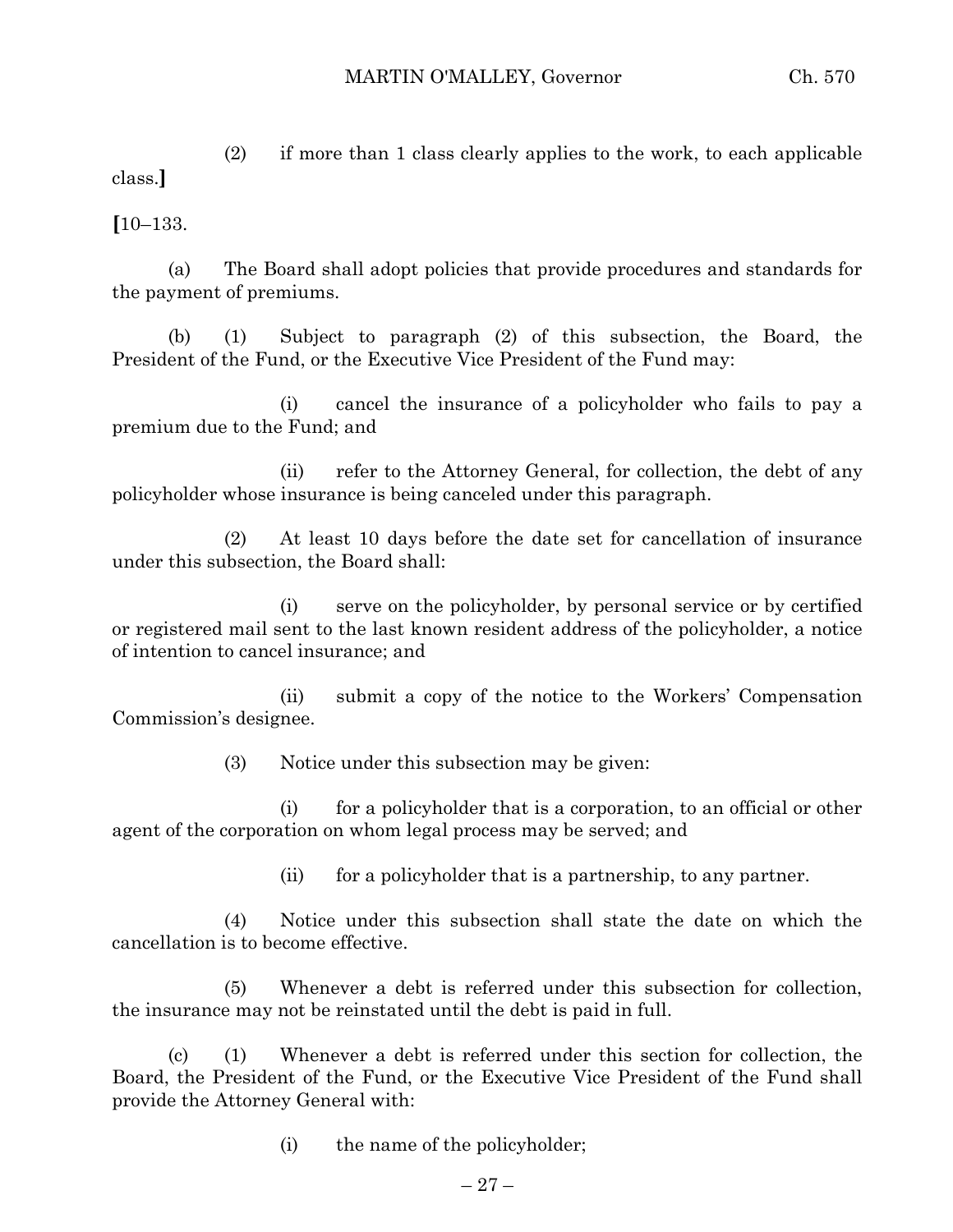(2) if more than 1 class clearly applies to the work, to each applicable class.**]**

**[**10–133.

(a) The Board shall adopt policies that provide procedures and standards for the payment of premiums.

(b) (1) Subject to paragraph (2) of this subsection, the Board, the President of the Fund, or the Executive Vice President of the Fund may:

(i) cancel the insurance of a policyholder who fails to pay a premium due to the Fund; and

(ii) refer to the Attorney General, for collection, the debt of any policyholder whose insurance is being canceled under this paragraph.

(2) At least 10 days before the date set for cancellation of insurance under this subsection, the Board shall:

(i) serve on the policyholder, by personal service or by certified or registered mail sent to the last known resident address of the policyholder, a notice of intention to cancel insurance; and

(ii) submit a copy of the notice to the Workers' Compensation Commission's designee.

(3) Notice under this subsection may be given:

(i) for a policyholder that is a corporation, to an official or other agent of the corporation on whom legal process may be served; and

(ii) for a policyholder that is a partnership, to any partner.

(4) Notice under this subsection shall state the date on which the cancellation is to become effective.

(5) Whenever a debt is referred under this subsection for collection, the insurance may not be reinstated until the debt is paid in full.

(c) (1) Whenever a debt is referred under this section for collection, the Board, the President of the Fund, or the Executive Vice President of the Fund shall provide the Attorney General with:

(i) the name of the policyholder;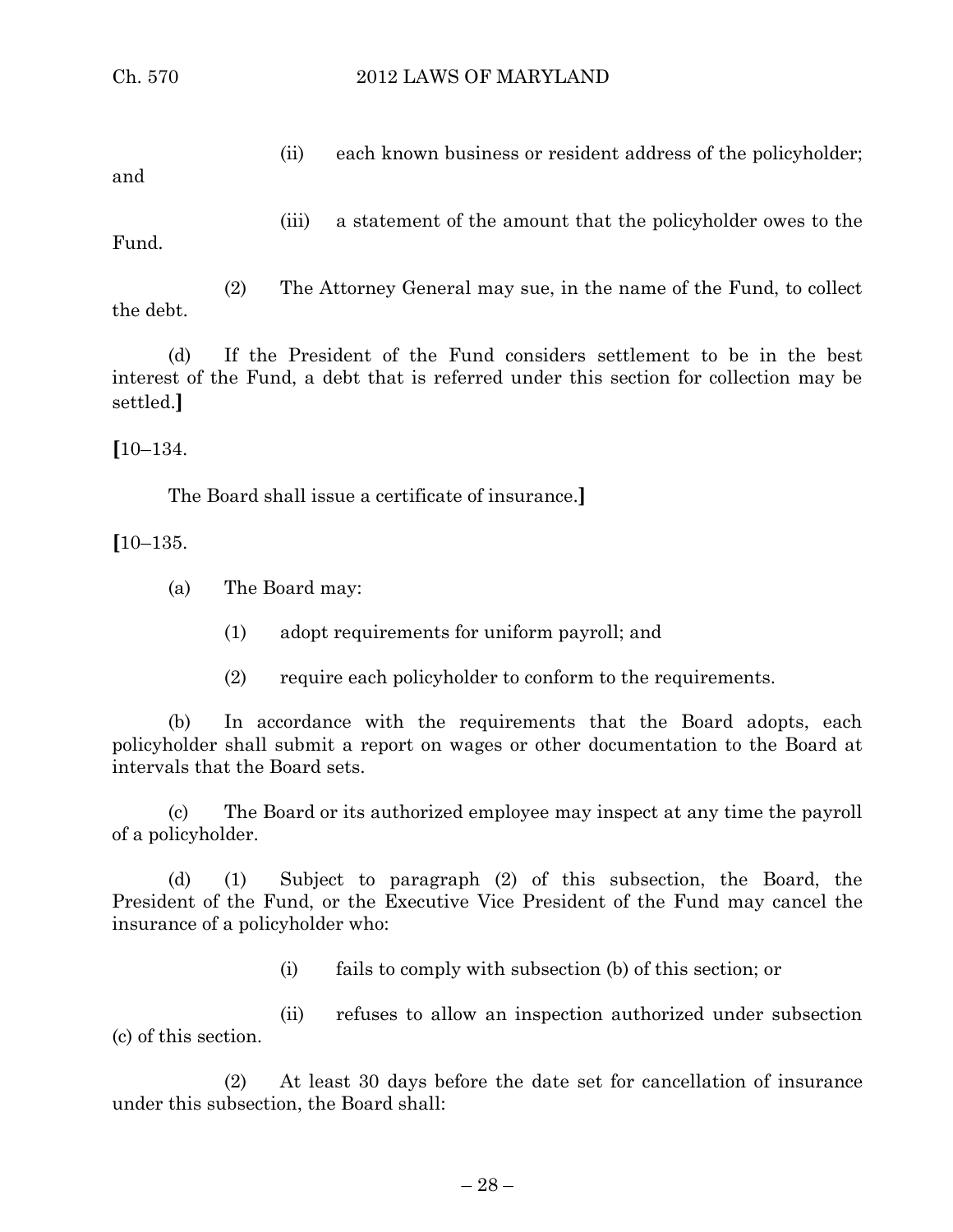(ii) each known business or resident address of the policyholder; and

(iii) a statement of the amount that the policyholder owes to the Fund.

(2) The Attorney General may sue, in the name of the Fund, to collect the debt.

(d) If the President of the Fund considers settlement to be in the best interest of the Fund, a debt that is referred under this section for collection may be settled.**]**

**[**10–134.

The Board shall issue a certificate of insurance.**]**

**[**10–135.

- (a) The Board may:
	- (1) adopt requirements for uniform payroll; and
	- (2) require each policyholder to conform to the requirements.

(b) In accordance with the requirements that the Board adopts, each policyholder shall submit a report on wages or other documentation to the Board at intervals that the Board sets.

(c) The Board or its authorized employee may inspect at any time the payroll of a policyholder.

(d) (1) Subject to paragraph (2) of this subsection, the Board, the President of the Fund, or the Executive Vice President of the Fund may cancel the insurance of a policyholder who:

(i) fails to comply with subsection (b) of this section; or

(ii) refuses to allow an inspection authorized under subsection (c) of this section.

(2) At least 30 days before the date set for cancellation of insurance under this subsection, the Board shall: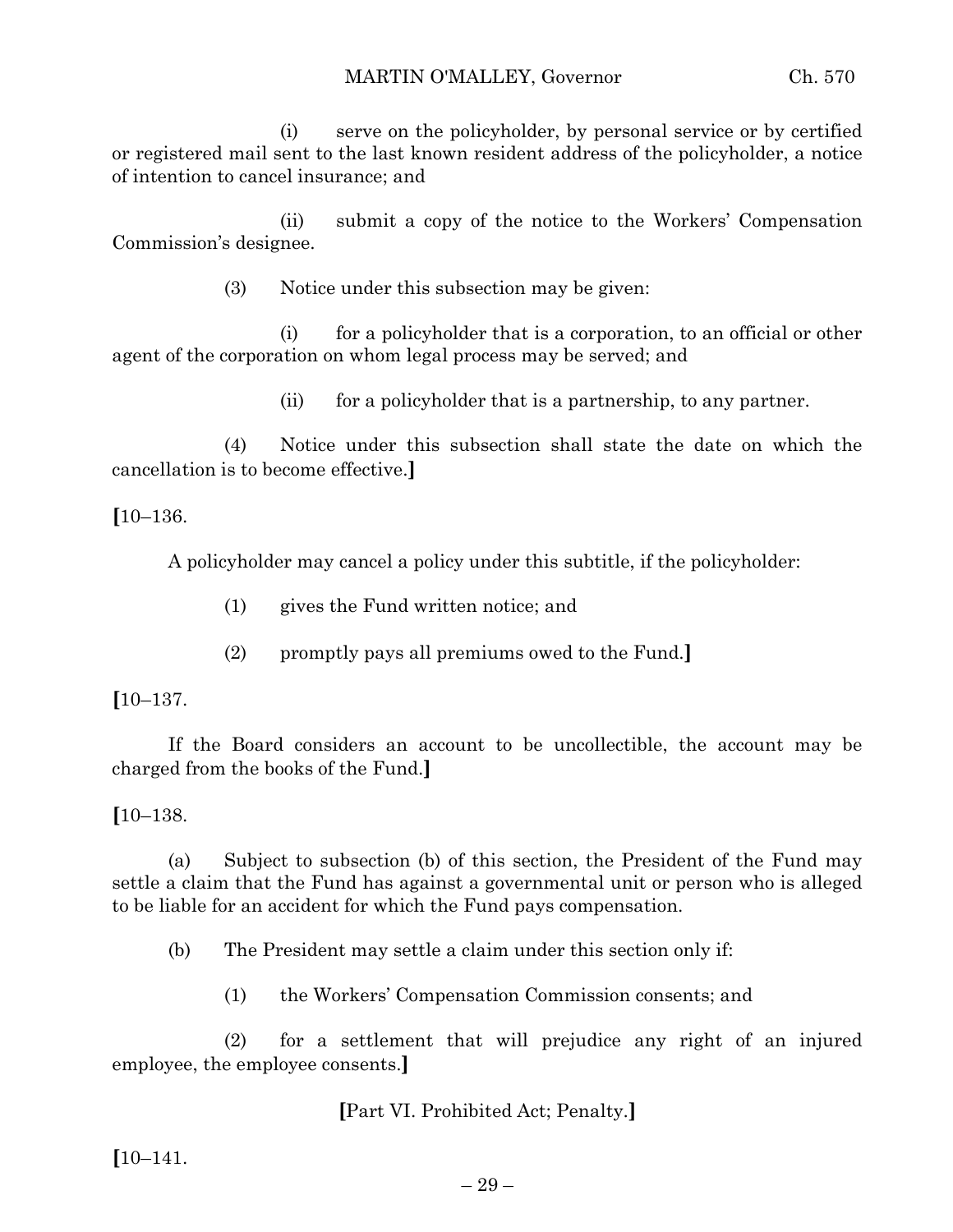(i) serve on the policyholder, by personal service or by certified or registered mail sent to the last known resident address of the policyholder, a notice of intention to cancel insurance; and

(ii) submit a copy of the notice to the Workers' Compensation Commission's designee.

(3) Notice under this subsection may be given:

(i) for a policyholder that is a corporation, to an official or other agent of the corporation on whom legal process may be served; and

(ii) for a policyholder that is a partnership, to any partner.

(4) Notice under this subsection shall state the date on which the cancellation is to become effective.**]**

**[**10–136.

A policyholder may cancel a policy under this subtitle, if the policyholder:

- (1) gives the Fund written notice; and
- (2) promptly pays all premiums owed to the Fund.**]**

**[**10–137.

If the Board considers an account to be uncollectible, the account may be charged from the books of the Fund.**]**

**[**10–138.

(a) Subject to subsection (b) of this section, the President of the Fund may settle a claim that the Fund has against a governmental unit or person who is alleged to be liable for an accident for which the Fund pays compensation.

(b) The President may settle a claim under this section only if:

(1) the Workers' Compensation Commission consents; and

(2) for a settlement that will prejudice any right of an injured employee, the employee consents.**]**

**[**Part VI. Prohibited Act; Penalty.**]**

**[**10–141.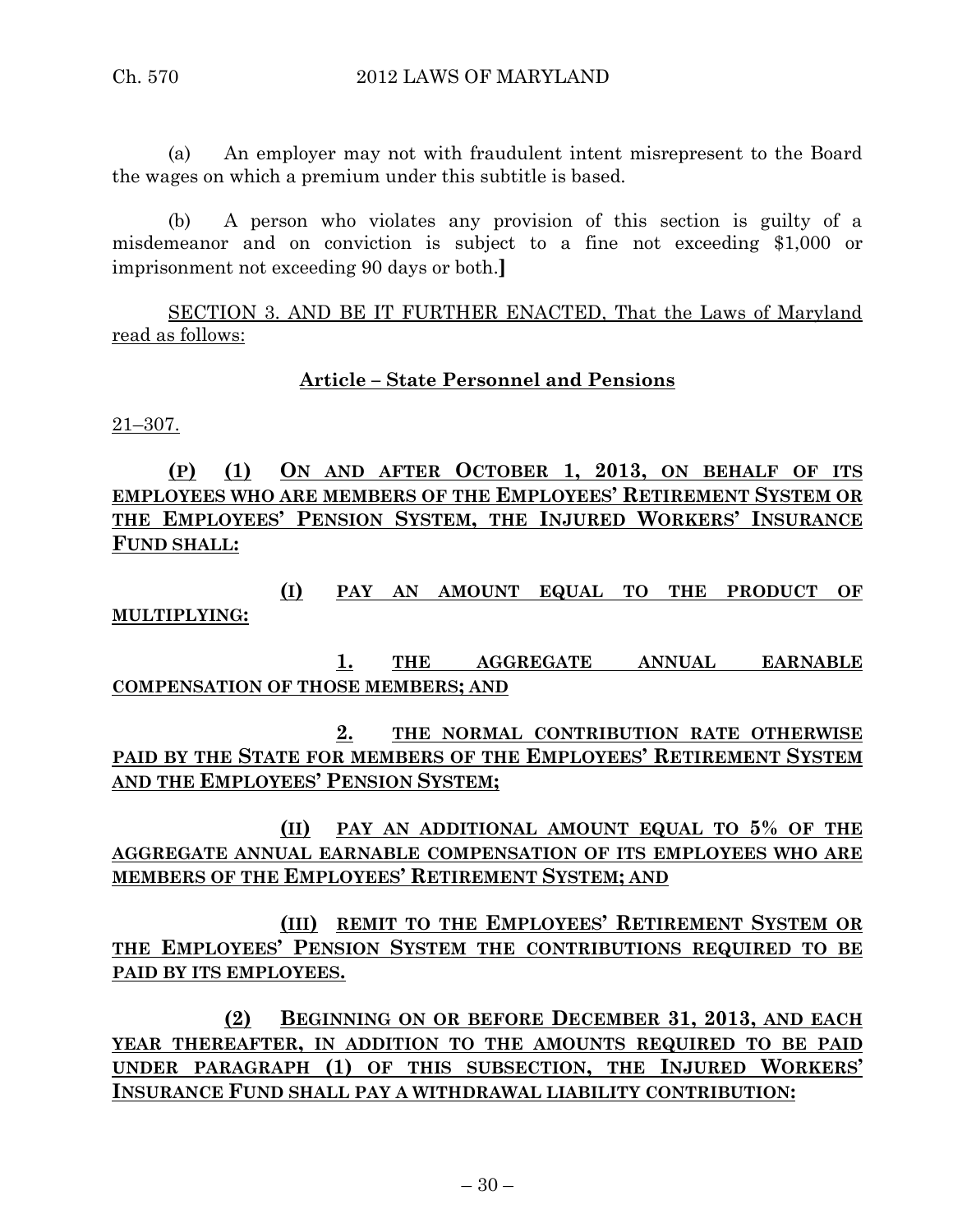(a) An employer may not with fraudulent intent misrepresent to the Board the wages on which a premium under this subtitle is based.

(b) A person who violates any provision of this section is guilty of a misdemeanor and on conviction is subject to a fine not exceeding \$1,000 or imprisonment not exceeding 90 days or both.**]**

SECTION 3. AND BE IT FURTHER ENACTED, That the Laws of Maryland read as follows:

# **Article – State Personnel and Pensions**

21–307.

**(P) (1) ON AND AFTER OCTOBER 1, 2013, ON BEHALF OF ITS EMPLOYEES WHO ARE MEMBERS OF THE EMPLOYEES' RETIREMENT SYSTEM OR THE EMPLOYEES' PENSION SYSTEM, THE INJURED WORKERS' INSURANCE FUND SHALL:**

**(I) PAY AN AMOUNT EQUAL TO THE PRODUCT OF MULTIPLYING:**

**1. THE AGGREGATE ANNUAL EARNABLE COMPENSATION OF THOSE MEMBERS; AND** 

**2. THE NORMAL CONTRIBUTION RATE OTHERWISE PAID BY THE STATE FOR MEMBERS OF THE EMPLOYEES' RETIREMENT SYSTEM AND THE EMPLOYEES' PENSION SYSTEM;**

**(II) PAY AN ADDITIONAL AMOUNT EQUAL TO 5% OF THE AGGREGATE ANNUAL EARNABLE COMPENSATION OF ITS EMPLOYEES WHO ARE MEMBERS OF THE EMPLOYEES' RETIREMENT SYSTEM; AND**

**(III) REMIT TO THE EMPLOYEES' RETIREMENT SYSTEM OR THE EMPLOYEES' PENSION SYSTEM THE CONTRIBUTIONS REQUIRED TO BE PAID BY ITS EMPLOYEES.**

**(2) BEGINNING ON OR BEFORE DECEMBER 31, 2013, AND EACH YEAR THEREAFTER, IN ADDITION TO THE AMOUNTS REQUIRED TO BE PAID UNDER PARAGRAPH (1) OF THIS SUBSECTION, THE INJURED WORKERS' INSURANCE FUND SHALL PAY A WITHDRAWAL LIABILITY CONTRIBUTION:**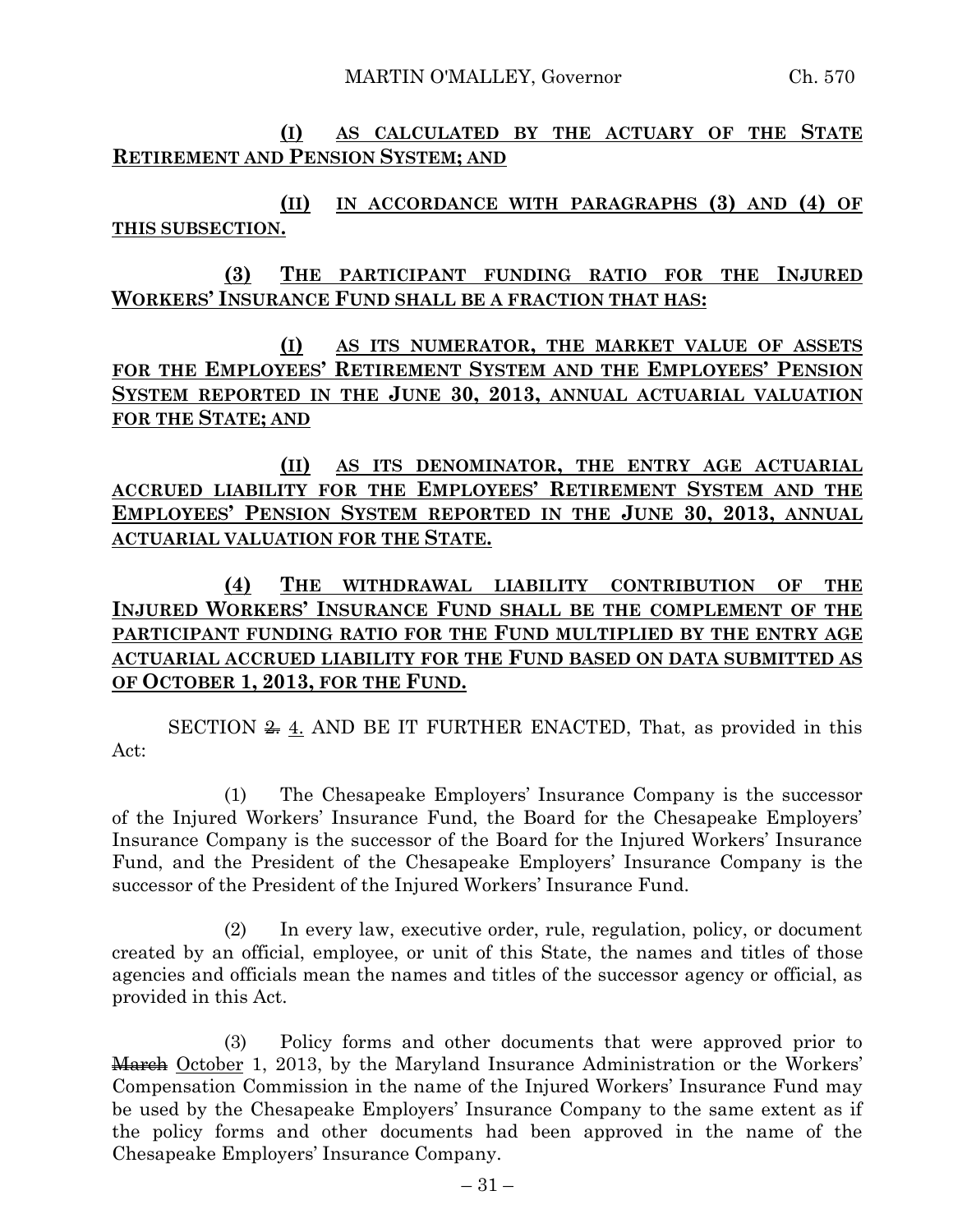**(I) AS CALCULATED BY THE ACTUARY OF THE STATE RETIREMENT AND PENSION SYSTEM; AND**

**(II) IN ACCORDANCE WITH PARAGRAPHS (3) AND (4) OF THIS SUBSECTION.**

**(3) THE PARTICIPANT FUNDING RATIO FOR THE INJURED WORKERS' INSURANCE FUND SHALL BE A FRACTION THAT HAS:**

**(I) AS ITS NUMERATOR, THE MARKET VALUE OF ASSETS FOR THE EMPLOYEES' RETIREMENT SYSTEM AND THE EMPLOYEES' PENSION SYSTEM REPORTED IN THE JUNE 30, 2013, ANNUAL ACTUARIAL VALUATION FOR THE STATE; AND**

**(II) AS ITS DENOMINATOR, THE ENTRY AGE ACTUARIAL ACCRUED LIABILITY FOR THE EMPLOYEES' RETIREMENT SYSTEM AND THE EMPLOYEES' PENSION SYSTEM REPORTED IN THE JUNE 30, 2013, ANNUAL ACTUARIAL VALUATION FOR THE STATE.**

**(4) THE WITHDRAWAL LIABILITY CONTRIBUTION OF THE INJURED WORKERS' INSURANCE FUND SHALL BE THE COMPLEMENT OF THE PARTICIPANT FUNDING RATIO FOR THE FUND MULTIPLIED BY THE ENTRY AGE ACTUARIAL ACCRUED LIABILITY FOR THE FUND BASED ON DATA SUBMITTED AS OF OCTOBER 1, 2013, FOR THE FUND.**

SECTION  $\frac{2}{\epsilon}$ , AND BE IT FURTHER ENACTED, That, as provided in this Act:

(1) The Chesapeake Employers' Insurance Company is the successor of the Injured Workers' Insurance Fund, the Board for the Chesapeake Employers' Insurance Company is the successor of the Board for the Injured Workers' Insurance Fund, and the President of the Chesapeake Employers' Insurance Company is the successor of the President of the Injured Workers' Insurance Fund.

(2) In every law, executive order, rule, regulation, policy, or document created by an official, employee, or unit of this State, the names and titles of those agencies and officials mean the names and titles of the successor agency or official, as provided in this Act.

(3) Policy forms and other documents that were approved prior to **March** October 1, 2013, by the Maryland Insurance Administration or the Workers' Compensation Commission in the name of the Injured Workers' Insurance Fund may be used by the Chesapeake Employers' Insurance Company to the same extent as if the policy forms and other documents had been approved in the name of the Chesapeake Employers' Insurance Company.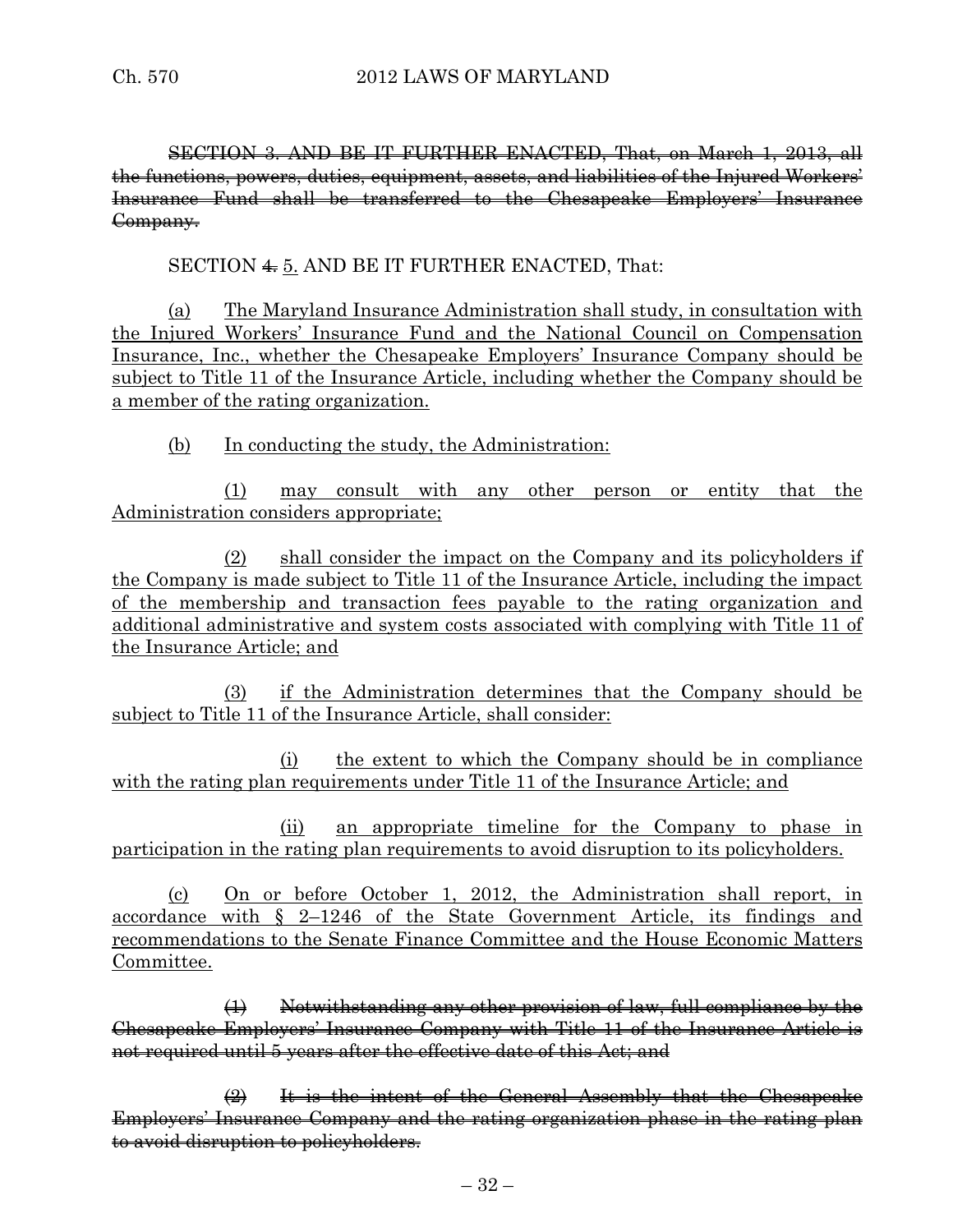SECTION 3. AND BE IT FURTHER ENACTED, That, on March 1, 2013, all the functions, powers, duties, equipment, assets, and liabilities of the Injured Workers' Insurance Fund shall be transferred to the Chesapeake Employers' Insurance Company.

### SECTION  $\text{\#}$  5. AND BE IT FURTHER ENACTED, That:

(a) The Maryland Insurance Administration shall study, in consultation with the Injured Workers' Insurance Fund and the National Council on Compensation Insurance, Inc., whether the Chesapeake Employers' Insurance Company should be subject to Title 11 of the Insurance Article, including whether the Company should be a member of the rating organization.

(b) In conducting the study, the Administration:

(1) may consult with any other person or entity that the Administration considers appropriate;

(2) shall consider the impact on the Company and its policyholders if the Company is made subject to Title 11 of the Insurance Article, including the impact of the membership and transaction fees payable to the rating organization and additional administrative and system costs associated with complying with Title 11 of the Insurance Article; and

(3) if the Administration determines that the Company should be subject to Title 11 of the Insurance Article, shall consider:

(i) the extent to which the Company should be in compliance with the rating plan requirements under Title 11 of the Insurance Article; and

(ii) an appropriate timeline for the Company to phase in participation in the rating plan requirements to avoid disruption to its policyholders.

(c) On or before October 1, 2012, the Administration shall report, in accordance with § 2–1246 of the State Government Article, its findings and recommendations to the Senate Finance Committee and the House Economic Matters Committee.

(1) Notwithstanding any other provision of law, full compliance by the Chesapeake Employers' Insurance Company with Title 11 of the Insurance Article is not required until 5 years after the effective date of this Act; and

(2) It is the intent of the General Assembly that the Chesapeake Employers' Insurance Company and the rating organization phase in the rating plan to avoid disruption to policyholders.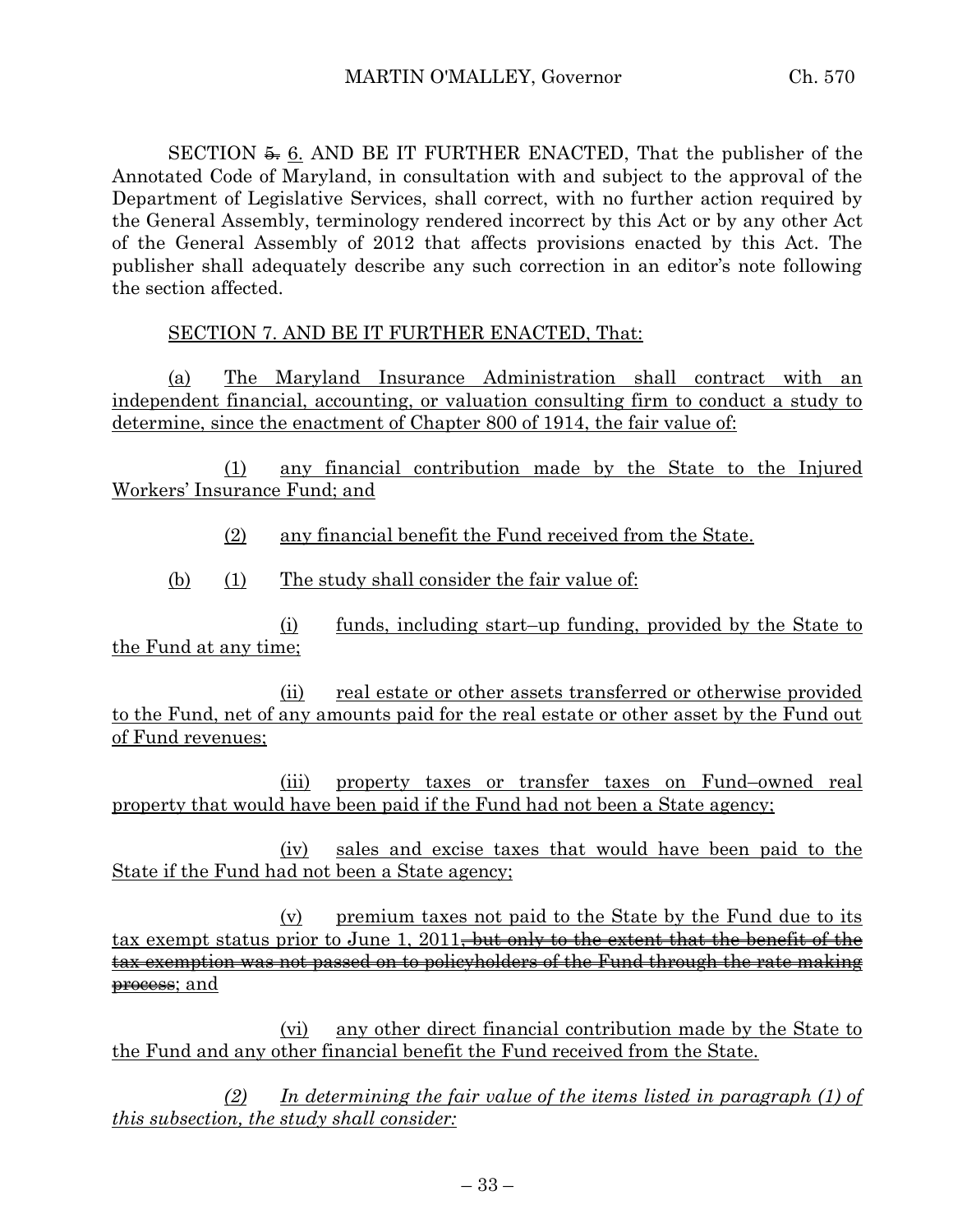SECTION  $\frac{5}{2}$ . AND BE IT FURTHER ENACTED, That the publisher of the Annotated Code of Maryland, in consultation with and subject to the approval of the Department of Legislative Services, shall correct, with no further action required by the General Assembly, terminology rendered incorrect by this Act or by any other Act of the General Assembly of 2012 that affects provisions enacted by this Act. The publisher shall adequately describe any such correction in an editor's note following the section affected.

### SECTION 7. AND BE IT FURTHER ENACTED, That:

(a) The Maryland Insurance Administration shall contract with an independent financial, accounting, or valuation consulting firm to conduct a study to determine, since the enactment of Chapter 800 of 1914, the fair value of:

(1) any financial contribution made by the State to the Injured Workers' Insurance Fund; and

(2) any financial benefit the Fund received from the State.

(b) (1) The study shall consider the fair value of:

(i) funds, including start–up funding, provided by the State to the Fund at any time;

(ii) real estate or other assets transferred or otherwise provided to the Fund, net of any amounts paid for the real estate or other asset by the Fund out of Fund revenues;

(iii) property taxes or transfer taxes on Fund–owned real property that would have been paid if the Fund had not been a State agency;

(iv) sales and excise taxes that would have been paid to the State if the Fund had not been a State agency;

(v) premium taxes not paid to the State by the Fund due to its tax exempt status prior to June 1, 2011<del>, but only to the extent that the benefit of the</del> tax exemption was not passed on to policyholders of the Fund through the rate making process; and

(vi) any other direct financial contribution made by the State to the Fund and any other financial benefit the Fund received from the State.

*(2) In determining the fair value of the items listed in paragraph (1) of this subsection, the study shall consider:*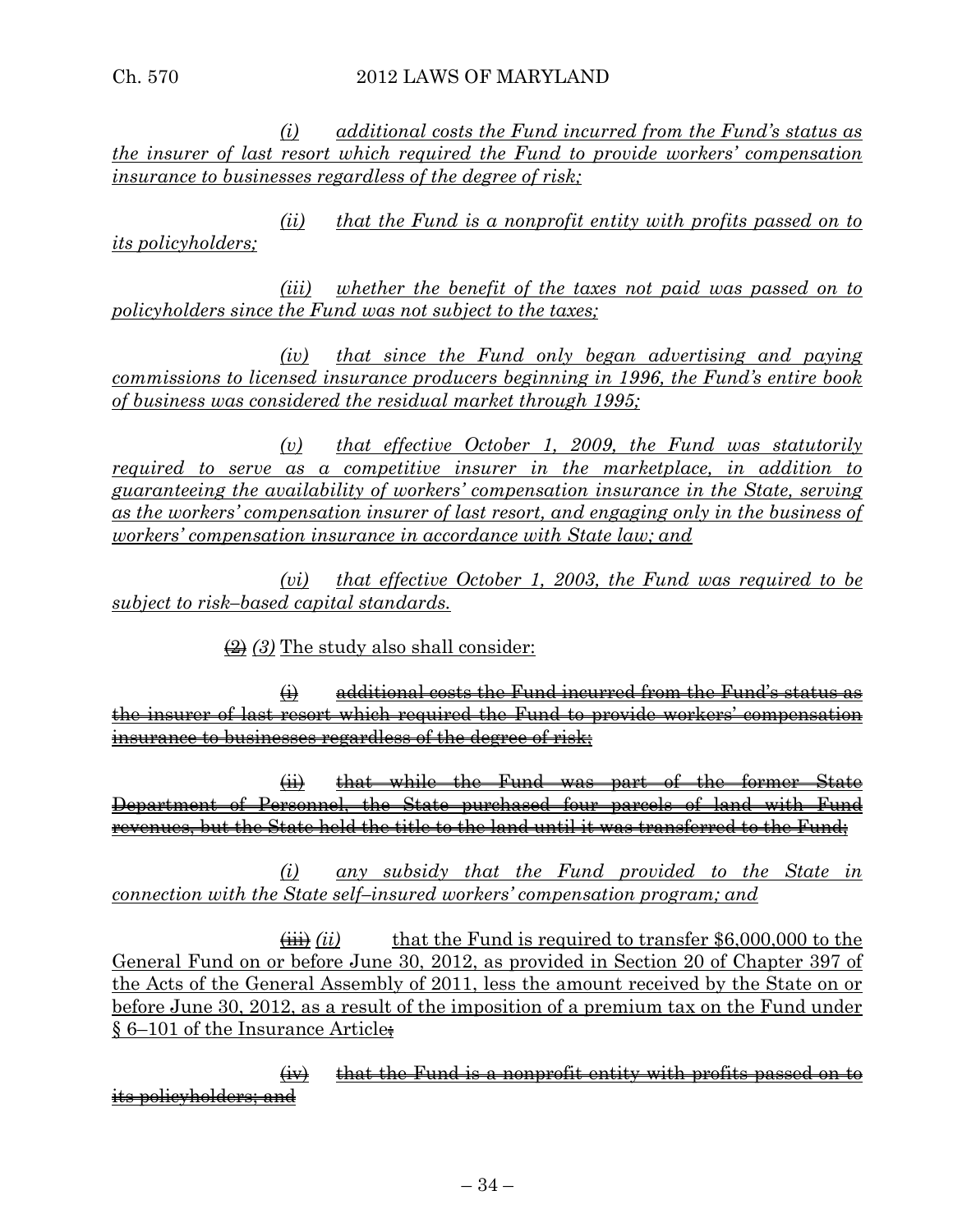### Ch. 570 2012 LAWS OF MARYLAND

*(i) additional costs the Fund incurred from the Fund's status as the insurer of last resort which required the Fund to provide workers' compensation insurance to businesses regardless of the degree of risk;*

*(ii) that the Fund is a nonprofit entity with profits passed on to its policyholders;*

*(iii) whether the benefit of the taxes not paid was passed on to policyholders since the Fund was not subject to the taxes;* 

*(iv) that since the Fund only began advertising and paying commissions to licensed insurance producers beginning in 1996, the Fund's entire book of business was considered the residual market through 1995;* 

*(v) that effective October 1, 2009, the Fund was statutorily required to serve as a competitive insurer in the marketplace, in addition to guaranteeing the availability of workers' compensation insurance in the State, serving as the workers' compensation insurer of last resort, and engaging only in the business of workers' compensation insurance in accordance with State law; and*

*(vi) that effective October 1, 2003, the Fund was required to be subject to risk–based capital standards.*

 $\left(\frac{1}{2}\right)$  *(3)* The study also shall consider:

(i) additional costs the Fund incurred from the Fund's status as the insurer of last resort which required the Fund to provide workers' compensation insurance to businesses regardless of the degree of risk;

(ii) that while the Fund was part of the former State Department of Personnel, the State purchased four parcels of land with Fund revenues, but the State held the title to the land until it was transferred to the Fund;

*(i) any subsidy that the Fund provided to the State in connection with the State self–insured workers' compensation program; and* 

 $\overleftrightarrow{\textbf{(ii)}}$  that the Fund is required to transfer \$6,000,000 to the General Fund on or before June 30, 2012, as provided in Section 20 of Chapter 397 of the Acts of the General Assembly of 2011, less the amount received by the State on or before June 30, 2012, as a result of the imposition of a premium tax on the Fund under § 6–101 of the Insurance Article;

(iv) that the Fund is a nonprofit entity with profits passed on to its policyholders; and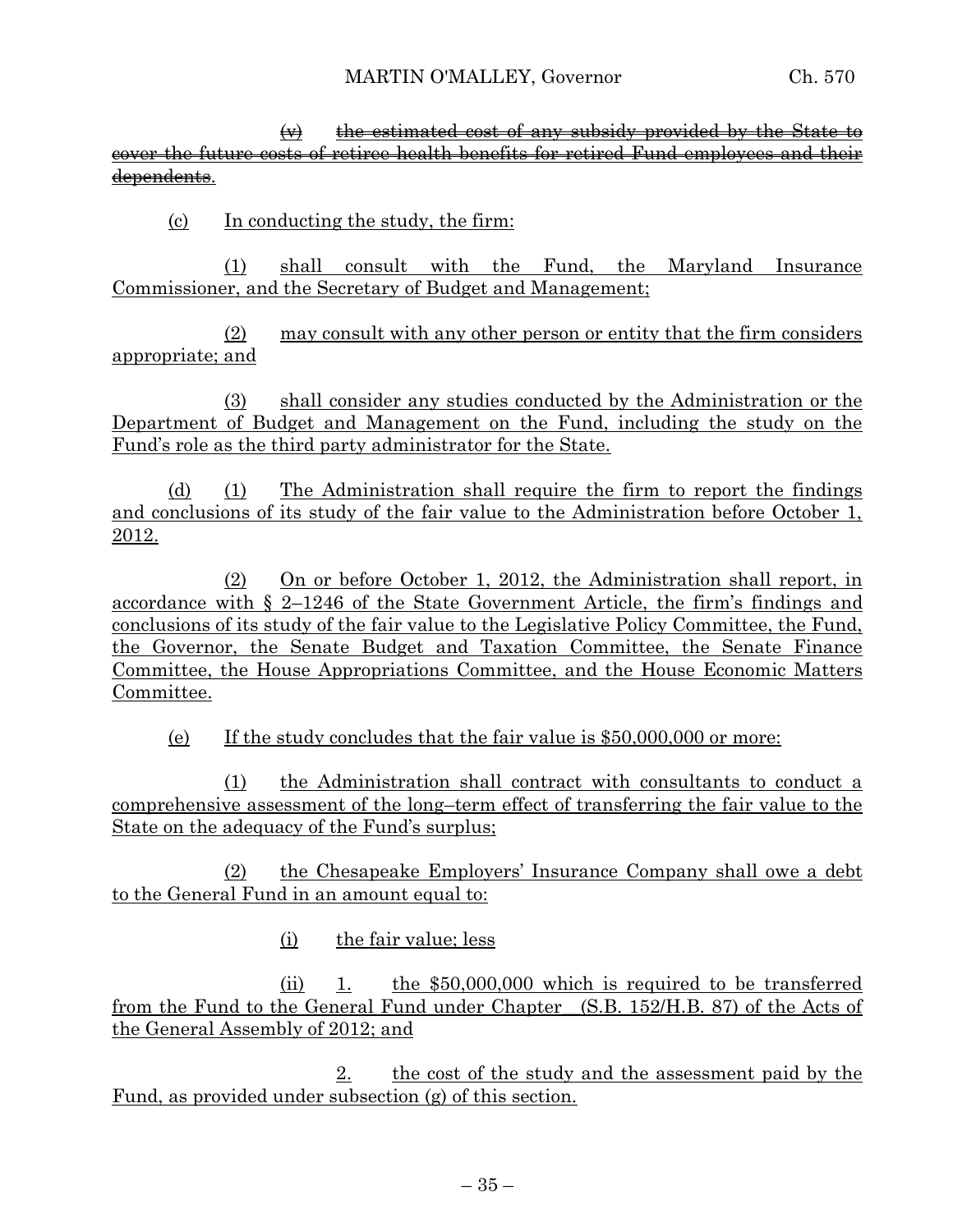$\leftrightarrow$  the estimated cost of any subsidy provided by the State to cover the future costs of retiree health benefits for retired Fund employees and their dependents.

(c) In conducting the study, the firm:

(1) shall consult with the Fund, the Maryland Insurance Commissioner, and the Secretary of Budget and Management;

(2) may consult with any other person or entity that the firm considers appropriate; and

(3) shall consider any studies conducted by the Administration or the Department of Budget and Management on the Fund, including the study on the Fund's role as the third party administrator for the State.

(d) (1) The Administration shall require the firm to report the findings and conclusions of its study of the fair value to the Administration before October 1, 2012.

(2) On or before October 1, 2012, the Administration shall report, in accordance with § 2–1246 of the State Government Article, the firm's findings and conclusions of its study of the fair value to the Legislative Policy Committee, the Fund, the Governor, the Senate Budget and Taxation Committee, the Senate Finance Committee, the House Appropriations Committee, and the House Economic Matters Committee.

(e) If the study concludes that the fair value is \$50,000,000 or more:

(1) the Administration shall contract with consultants to conduct a comprehensive assessment of the long–term effect of transferring the fair value to the State on the adequacy of the Fund's surplus;

(2) the Chesapeake Employers' Insurance Company shall owe a debt to the General Fund in an amount equal to:

(i) the fair value; less

(ii) 1. the \$50,000,000 which is required to be transferred from the Fund to the General Fund under Chapter\_\_(S.B. 152/H.B. 87) of the Acts of the General Assembly of 2012; and

2. the cost of the study and the assessment paid by the Fund, as provided under subsection (g) of this section.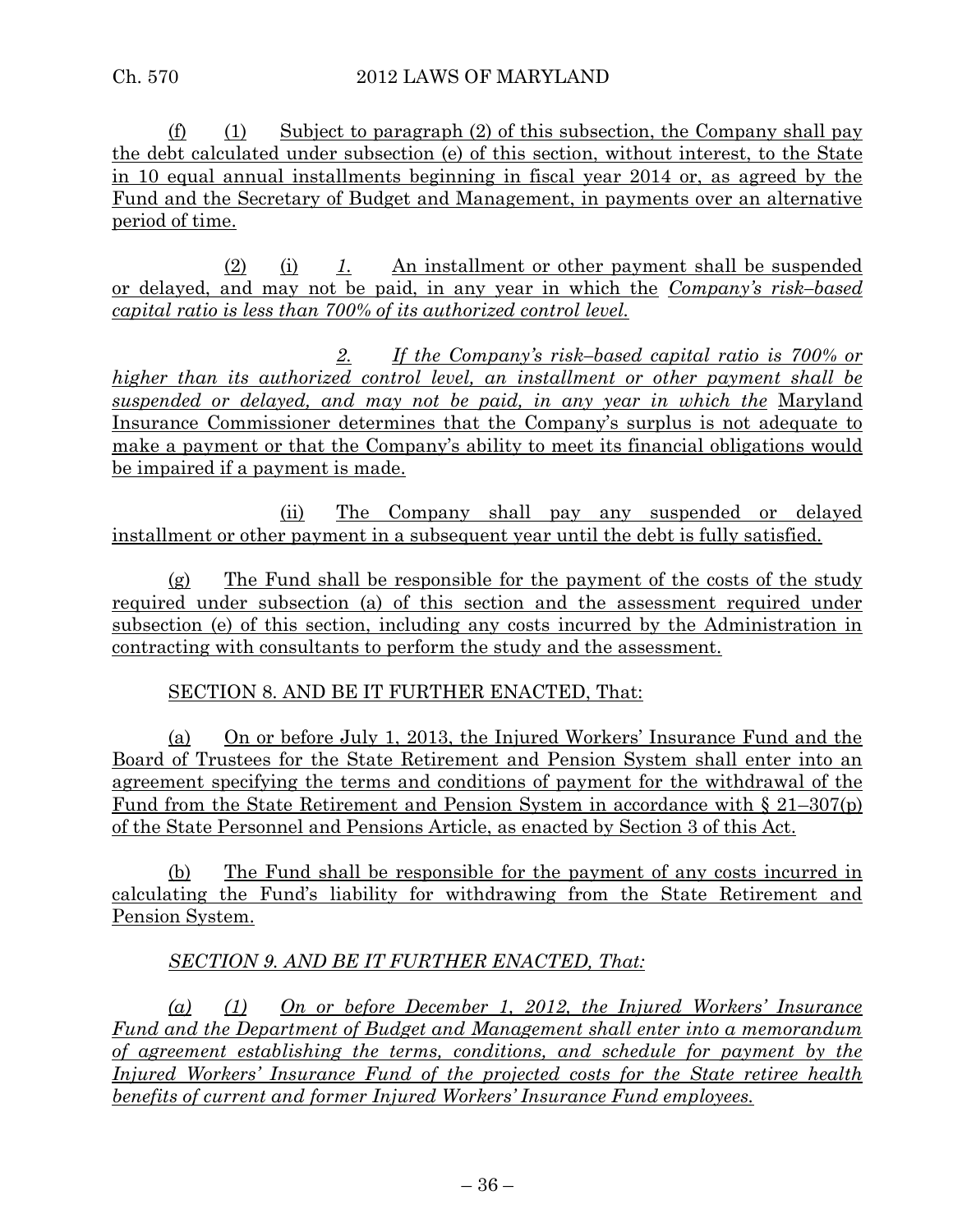(f) (1) Subject to paragraph (2) of this subsection, the Company shall pay the debt calculated under subsection (e) of this section, without interest, to the State in 10 equal annual installments beginning in fiscal year 2014 or, as agreed by the Fund and the Secretary of Budget and Management, in payments over an alternative period of time.

(2) (i) *1.* An installment or other payment shall be suspended or delayed, and may not be paid, in any year in which the *Company's risk–based capital ratio is less than 700% of its authorized control level.*

*2. If the Company's risk–based capital ratio is 700% or higher than its authorized control level, an installment or other payment shall be suspended or delayed, and may not be paid, in any year in which the* Maryland Insurance Commissioner determines that the Company's surplus is not adequate to make a payment or that the Company's ability to meet its financial obligations would be impaired if a payment is made.

(ii) The Company shall pay any suspended or delayed installment or other payment in a subsequent year until the debt is fully satisfied.

(g) The Fund shall be responsible for the payment of the costs of the study required under subsection (a) of this section and the assessment required under subsection (e) of this section, including any costs incurred by the Administration in contracting with consultants to perform the study and the assessment.

# SECTION 8. AND BE IT FURTHER ENACTED, That:

(a) On or before July 1, 2013, the Injured Workers' Insurance Fund and the Board of Trustees for the State Retirement and Pension System shall enter into an agreement specifying the terms and conditions of payment for the withdrawal of the Fund from the State Retirement and Pension System in accordance with § 21–307(p) of the State Personnel and Pensions Article, as enacted by Section 3 of this Act.

(b) The Fund shall be responsible for the payment of any costs incurred in calculating the Fund's liability for withdrawing from the State Retirement and Pension System.

# *SECTION 9. AND BE IT FURTHER ENACTED, That:*

*(a) (1) On or before December 1, 2012, the Injured Workers' Insurance Fund and the Department of Budget and Management shall enter into a memorandum of agreement establishing the terms, conditions, and schedule for payment by the Injured Workers' Insurance Fund of the projected costs for the State retiree health benefits of current and former Injured Workers' Insurance Fund employees.*